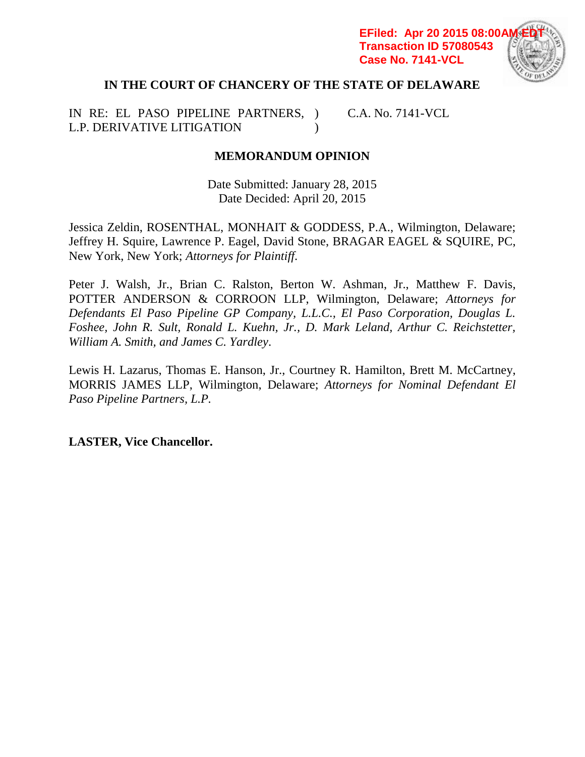**EFiled: Apr 20 2015 08:00/ Transaction ID 57080543 Case No. 7141-VCL**



# **IN THE COURT OF CHANCERY OF THE STATE OF DELAWARE**

IN RE: EL PASO PIPELINE PARTNERS, ) L.P. DERIVATIVE LITIGATION  $\mathcal{L}$ C.A. No. 7141-VCL

# **MEMORANDUM OPINION**

Date Submitted: January 28, 2015 Date Decided: April 20, 2015

Jessica Zeldin, ROSENTHAL, MONHAIT & GODDESS, P.A., Wilmington, Delaware; Jeffrey H. Squire, Lawrence P. Eagel, David Stone, BRAGAR EAGEL & SQUIRE, PC, New York, New York; *Attorneys for Plaintiff*.

Peter J. Walsh, Jr., Brian C. Ralston, Berton W. Ashman, Jr., Matthew F. Davis, POTTER ANDERSON & CORROON LLP, Wilmington, Delaware; *Attorneys for Defendants El Paso Pipeline GP Company, L.L.C., El Paso Corporation, Douglas L. Foshee, John R. Sult, Ronald L. Kuehn, Jr., D. Mark Leland, Arthur C. Reichstetter, William A. Smith, and James C. Yardley*.

Lewis H. Lazarus, Thomas E. Hanson, Jr., Courtney R. Hamilton, Brett M. McCartney, MORRIS JAMES LLP, Wilmington, Delaware; *Attorneys for Nominal Defendant El Paso Pipeline Partners, L.P.*

**LASTER, Vice Chancellor.**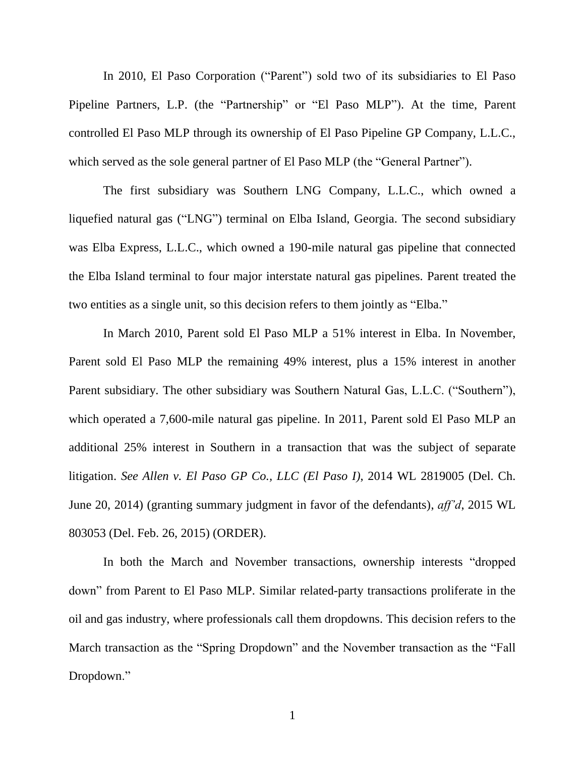In 2010, El Paso Corporation ("Parent") sold two of its subsidiaries to El Paso Pipeline Partners, L.P. (the "Partnership" or "El Paso MLP"). At the time, Parent controlled El Paso MLP through its ownership of El Paso Pipeline GP Company, L.L.C., which served as the sole general partner of El Paso MLP (the "General Partner").

The first subsidiary was Southern LNG Company, L.L.C., which owned a liquefied natural gas ("LNG") terminal on Elba Island, Georgia. The second subsidiary was Elba Express, L.L.C., which owned a 190-mile natural gas pipeline that connected the Elba Island terminal to four major interstate natural gas pipelines. Parent treated the two entities as a single unit, so this decision refers to them jointly as "Elba."

In March 2010, Parent sold El Paso MLP a 51% interest in Elba. In November, Parent sold El Paso MLP the remaining 49% interest, plus a 15% interest in another Parent subsidiary. The other subsidiary was Southern Natural Gas, L.L.C. ("Southern"), which operated a 7,600-mile natural gas pipeline. In 2011, Parent sold El Paso MLP an additional 25% interest in Southern in a transaction that was the subject of separate litigation. *See Allen v. El Paso GP Co., LLC (El Paso I)*, 2014 WL 2819005 (Del. Ch. June 20, 2014) (granting summary judgment in favor of the defendants), *aff'd*, 2015 WL 803053 (Del. Feb. 26, 2015) (ORDER).

In both the March and November transactions, ownership interests "dropped down" from Parent to El Paso MLP. Similar related-party transactions proliferate in the oil and gas industry, where professionals call them dropdowns. This decision refers to the March transaction as the "Spring Dropdown" and the November transaction as the "Fall Dropdown."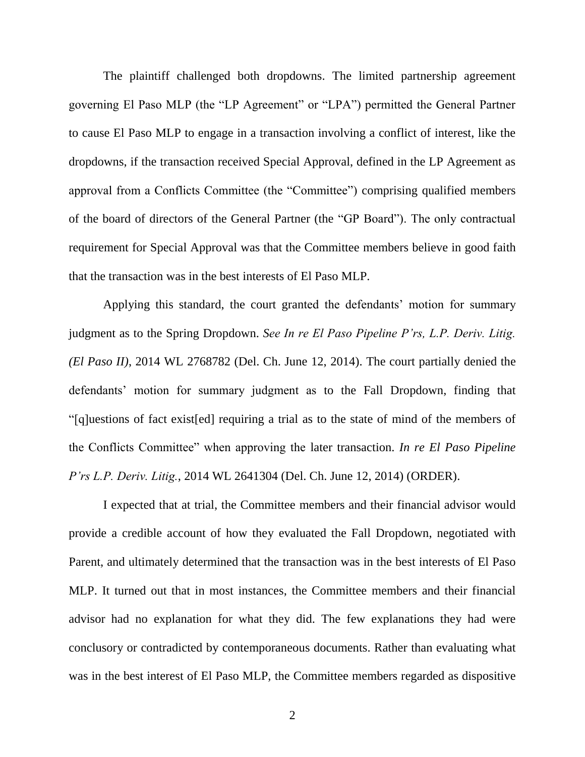The plaintiff challenged both dropdowns. The limited partnership agreement governing El Paso MLP (the "LP Agreement" or "LPA") permitted the General Partner to cause El Paso MLP to engage in a transaction involving a conflict of interest, like the dropdowns, if the transaction received Special Approval, defined in the LP Agreement as approval from a Conflicts Committee (the "Committee") comprising qualified members of the board of directors of the General Partner (the "GP Board"). The only contractual requirement for Special Approval was that the Committee members believe in good faith that the transaction was in the best interests of El Paso MLP.

Applying this standard, the court granted the defendants' motion for summary judgment as to the Spring Dropdown. *See In re El Paso Pipeline P'rs, L.P. Deriv. Litig. (El Paso II)*, 2014 WL 2768782 (Del. Ch. June 12, 2014). The court partially denied the defendants' motion for summary judgment as to the Fall Dropdown, finding that ―[q]uestions of fact exist[ed] requiring a trial as to the state of mind of the members of the Conflicts Committee" when approving the later transaction. *In re El Paso Pipeline P'rs L.P. Deriv. Litig.*, 2014 WL 2641304 (Del. Ch. June 12, 2014) (ORDER).

I expected that at trial, the Committee members and their financial advisor would provide a credible account of how they evaluated the Fall Dropdown, negotiated with Parent, and ultimately determined that the transaction was in the best interests of El Paso MLP. It turned out that in most instances, the Committee members and their financial advisor had no explanation for what they did. The few explanations they had were conclusory or contradicted by contemporaneous documents. Rather than evaluating what was in the best interest of El Paso MLP, the Committee members regarded as dispositive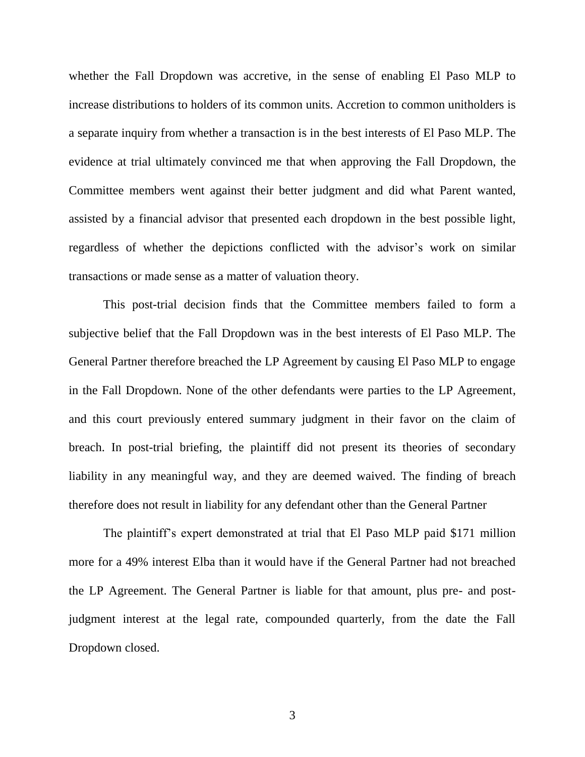whether the Fall Dropdown was accretive, in the sense of enabling El Paso MLP to increase distributions to holders of its common units. Accretion to common unitholders is a separate inquiry from whether a transaction is in the best interests of El Paso MLP. The evidence at trial ultimately convinced me that when approving the Fall Dropdown, the Committee members went against their better judgment and did what Parent wanted, assisted by a financial advisor that presented each dropdown in the best possible light, regardless of whether the depictions conflicted with the advisor's work on similar transactions or made sense as a matter of valuation theory.

This post-trial decision finds that the Committee members failed to form a subjective belief that the Fall Dropdown was in the best interests of El Paso MLP. The General Partner therefore breached the LP Agreement by causing El Paso MLP to engage in the Fall Dropdown. None of the other defendants were parties to the LP Agreement, and this court previously entered summary judgment in their favor on the claim of breach. In post-trial briefing, the plaintiff did not present its theories of secondary liability in any meaningful way, and they are deemed waived. The finding of breach therefore does not result in liability for any defendant other than the General Partner

The plaintiff's expert demonstrated at trial that El Paso MLP paid \$171 million more for a 49% interest Elba than it would have if the General Partner had not breached the LP Agreement. The General Partner is liable for that amount, plus pre- and postjudgment interest at the legal rate, compounded quarterly, from the date the Fall Dropdown closed.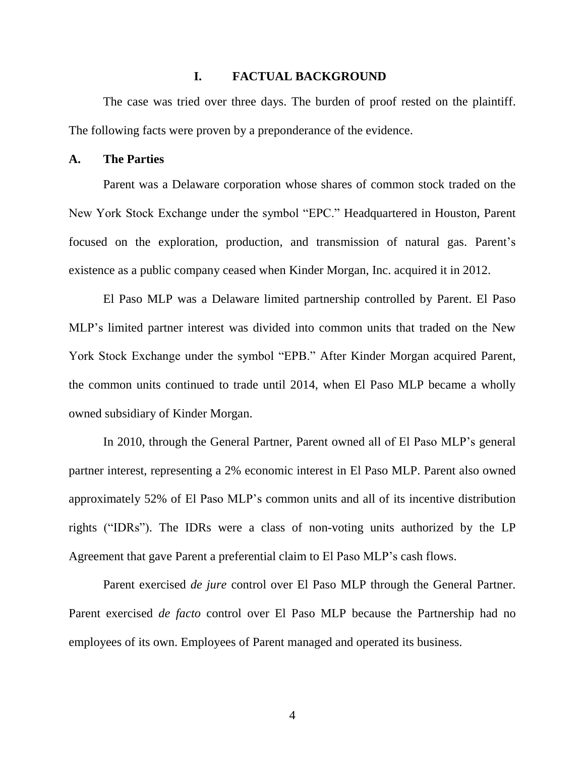## **I. FACTUAL BACKGROUND**

The case was tried over three days. The burden of proof rested on the plaintiff. The following facts were proven by a preponderance of the evidence.

# **A. The Parties**

Parent was a Delaware corporation whose shares of common stock traded on the New York Stock Exchange under the symbol "EPC." Headquartered in Houston, Parent focused on the exploration, production, and transmission of natural gas. Parent's existence as a public company ceased when Kinder Morgan, Inc. acquired it in 2012.

El Paso MLP was a Delaware limited partnership controlled by Parent. El Paso MLP's limited partner interest was divided into common units that traded on the New York Stock Exchange under the symbol "EPB." After Kinder Morgan acquired Parent, the common units continued to trade until 2014, when El Paso MLP became a wholly owned subsidiary of Kinder Morgan.

In 2010, through the General Partner, Parent owned all of El Paso MLP's general partner interest, representing a 2% economic interest in El Paso MLP. Parent also owned approximately 52% of El Paso MLP's common units and all of its incentive distribution rights ("IDRs"). The IDRs were a class of non-voting units authorized by the LP Agreement that gave Parent a preferential claim to El Paso MLP's cash flows.

Parent exercised *de jure* control over El Paso MLP through the General Partner. Parent exercised *de facto* control over El Paso MLP because the Partnership had no employees of its own. Employees of Parent managed and operated its business.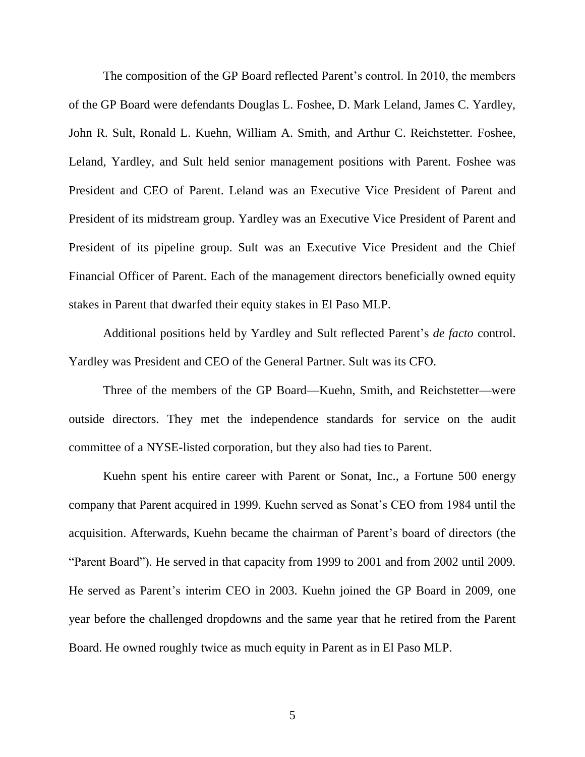The composition of the GP Board reflected Parent's control. In 2010, the members of the GP Board were defendants Douglas L. Foshee, D. Mark Leland, James C. Yardley, John R. Sult, Ronald L. Kuehn, William A. Smith, and Arthur C. Reichstetter. Foshee, Leland, Yardley, and Sult held senior management positions with Parent. Foshee was President and CEO of Parent. Leland was an Executive Vice President of Parent and President of its midstream group. Yardley was an Executive Vice President of Parent and President of its pipeline group. Sult was an Executive Vice President and the Chief Financial Officer of Parent. Each of the management directors beneficially owned equity stakes in Parent that dwarfed their equity stakes in El Paso MLP.

Additional positions held by Yardley and Sult reflected Parent's *de facto* control. Yardley was President and CEO of the General Partner. Sult was its CFO.

Three of the members of the GP Board—Kuehn, Smith, and Reichstetter—were outside directors. They met the independence standards for service on the audit committee of a NYSE-listed corporation, but they also had ties to Parent.

Kuehn spent his entire career with Parent or Sonat, Inc., a Fortune 500 energy company that Parent acquired in 1999. Kuehn served as Sonat's CEO from 1984 until the acquisition. Afterwards, Kuehn became the chairman of Parent's board of directors (the "Parent Board"). He served in that capacity from 1999 to 2001 and from 2002 until 2009. He served as Parent's interim CEO in 2003. Kuehn joined the GP Board in 2009, one year before the challenged dropdowns and the same year that he retired from the Parent Board. He owned roughly twice as much equity in Parent as in El Paso MLP.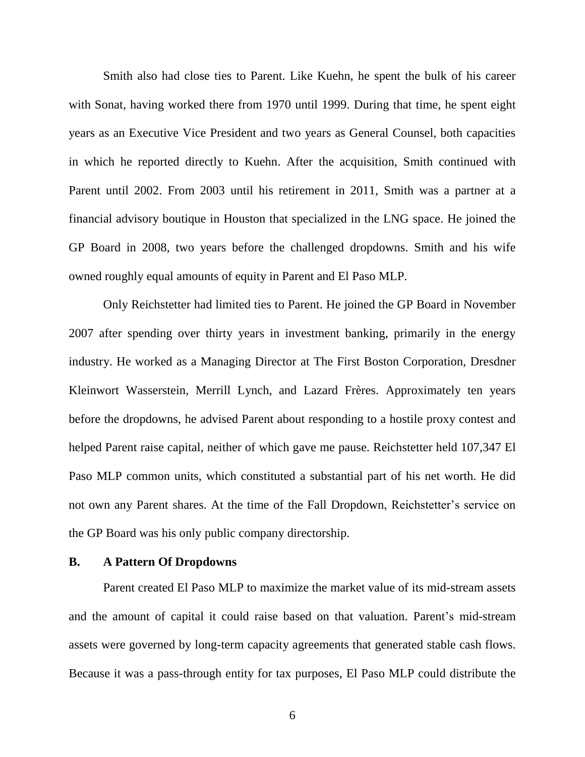Smith also had close ties to Parent. Like Kuehn, he spent the bulk of his career with Sonat, having worked there from 1970 until 1999. During that time, he spent eight years as an Executive Vice President and two years as General Counsel, both capacities in which he reported directly to Kuehn. After the acquisition, Smith continued with Parent until 2002. From 2003 until his retirement in 2011, Smith was a partner at a financial advisory boutique in Houston that specialized in the LNG space. He joined the GP Board in 2008, two years before the challenged dropdowns. Smith and his wife owned roughly equal amounts of equity in Parent and El Paso MLP.

Only Reichstetter had limited ties to Parent. He joined the GP Board in November 2007 after spending over thirty years in investment banking, primarily in the energy industry. He worked as a Managing Director at The First Boston Corporation, Dresdner Kleinwort Wasserstein, Merrill Lynch, and Lazard Frères. Approximately ten years before the dropdowns, he advised Parent about responding to a hostile proxy contest and helped Parent raise capital, neither of which gave me pause. Reichstetter held 107,347 El Paso MLP common units, which constituted a substantial part of his net worth. He did not own any Parent shares. At the time of the Fall Dropdown, Reichstetter's service on the GP Board was his only public company directorship.

## **B. A Pattern Of Dropdowns**

Parent created El Paso MLP to maximize the market value of its mid-stream assets and the amount of capital it could raise based on that valuation. Parent's mid-stream assets were governed by long-term capacity agreements that generated stable cash flows. Because it was a pass-through entity for tax purposes, El Paso MLP could distribute the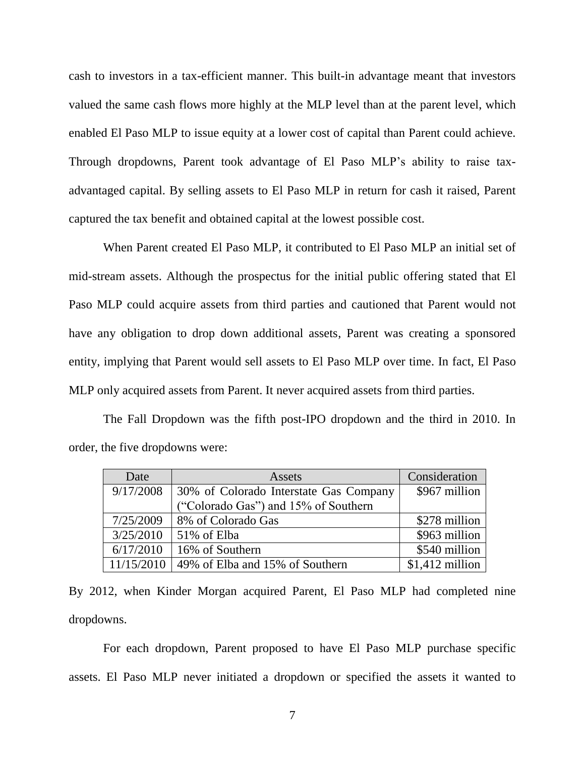cash to investors in a tax-efficient manner. This built-in advantage meant that investors valued the same cash flows more highly at the MLP level than at the parent level, which enabled El Paso MLP to issue equity at a lower cost of capital than Parent could achieve. Through dropdowns, Parent took advantage of El Paso MLP's ability to raise taxadvantaged capital. By selling assets to El Paso MLP in return for cash it raised, Parent captured the tax benefit and obtained capital at the lowest possible cost.

When Parent created El Paso MLP, it contributed to El Paso MLP an initial set of mid-stream assets. Although the prospectus for the initial public offering stated that El Paso MLP could acquire assets from third parties and cautioned that Parent would not have any obligation to drop down additional assets, Parent was creating a sponsored entity, implying that Parent would sell assets to El Paso MLP over time. In fact, El Paso MLP only acquired assets from Parent. It never acquired assets from third parties.

The Fall Dropdown was the fifth post-IPO dropdown and the third in 2010. In order, the five dropdowns were:

| Date       | Assets                                 | Consideration    |
|------------|----------------------------------------|------------------|
| 9/17/2008  | 30% of Colorado Interstate Gas Company | \$967 million    |
|            | ("Colorado Gas") and 15% of Southern   |                  |
| 7/25/2009  | 8% of Colorado Gas                     | \$278 million    |
| 3/25/2010  | 51% of Elba                            | \$963 million    |
| 6/17/2010  | 16% of Southern                        | \$540 million    |
| 11/15/2010 | 49% of Elba and 15% of Southern        | $$1,412$ million |

By 2012, when Kinder Morgan acquired Parent, El Paso MLP had completed nine dropdowns.

For each dropdown, Parent proposed to have El Paso MLP purchase specific assets. El Paso MLP never initiated a dropdown or specified the assets it wanted to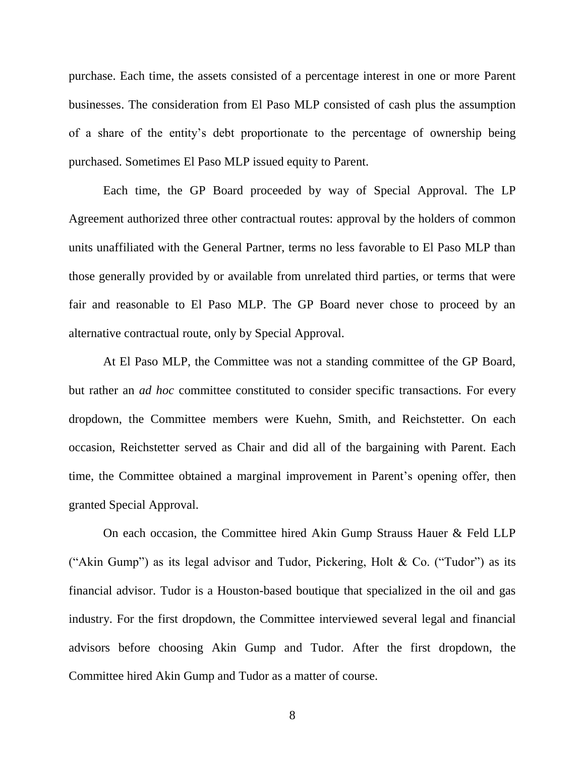purchase. Each time, the assets consisted of a percentage interest in one or more Parent businesses. The consideration from El Paso MLP consisted of cash plus the assumption of a share of the entity's debt proportionate to the percentage of ownership being purchased. Sometimes El Paso MLP issued equity to Parent.

Each time, the GP Board proceeded by way of Special Approval. The LP Agreement authorized three other contractual routes: approval by the holders of common units unaffiliated with the General Partner, terms no less favorable to El Paso MLP than those generally provided by or available from unrelated third parties, or terms that were fair and reasonable to El Paso MLP. The GP Board never chose to proceed by an alternative contractual route, only by Special Approval.

At El Paso MLP, the Committee was not a standing committee of the GP Board, but rather an *ad hoc* committee constituted to consider specific transactions. For every dropdown, the Committee members were Kuehn, Smith, and Reichstetter. On each occasion, Reichstetter served as Chair and did all of the bargaining with Parent. Each time, the Committee obtained a marginal improvement in Parent's opening offer, then granted Special Approval.

On each occasion, the Committee hired Akin Gump Strauss Hauer & Feld LLP ("Akin Gump") as its legal advisor and Tudor, Pickering, Holt & Co. ("Tudor") as its financial advisor. Tudor is a Houston-based boutique that specialized in the oil and gas industry. For the first dropdown, the Committee interviewed several legal and financial advisors before choosing Akin Gump and Tudor. After the first dropdown, the Committee hired Akin Gump and Tudor as a matter of course.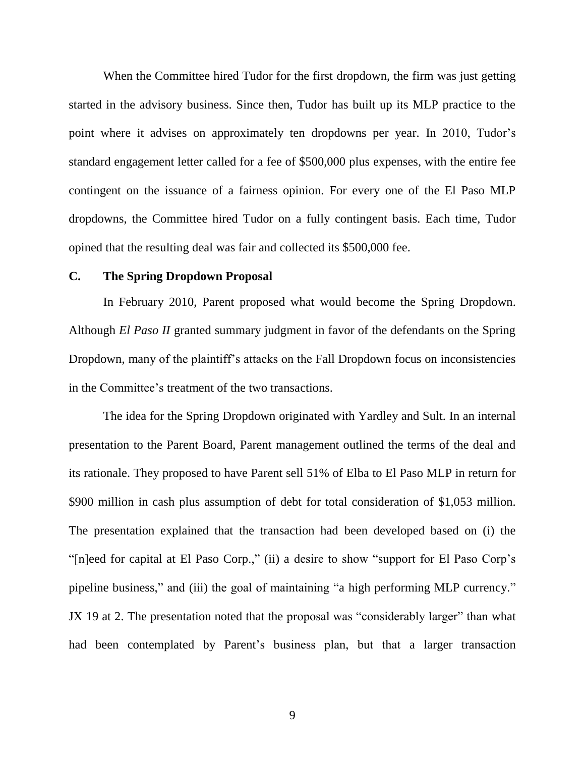When the Committee hired Tudor for the first dropdown, the firm was just getting started in the advisory business. Since then, Tudor has built up its MLP practice to the point where it advises on approximately ten dropdowns per year. In 2010, Tudor's standard engagement letter called for a fee of \$500,000 plus expenses, with the entire fee contingent on the issuance of a fairness opinion. For every one of the El Paso MLP dropdowns, the Committee hired Tudor on a fully contingent basis. Each time, Tudor opined that the resulting deal was fair and collected its \$500,000 fee.

### **C. The Spring Dropdown Proposal**

In February 2010, Parent proposed what would become the Spring Dropdown. Although *El Paso II* granted summary judgment in favor of the defendants on the Spring Dropdown, many of the plaintiff's attacks on the Fall Dropdown focus on inconsistencies in the Committee's treatment of the two transactions.

The idea for the Spring Dropdown originated with Yardley and Sult. In an internal presentation to the Parent Board, Parent management outlined the terms of the deal and its rationale. They proposed to have Parent sell 51% of Elba to El Paso MLP in return for \$900 million in cash plus assumption of debt for total consideration of \$1,053 million. The presentation explained that the transaction had been developed based on (i) the "[n]eed for capital at El Paso Corp.," (ii) a desire to show "support for El Paso Corp's pipeline business," and (iii) the goal of maintaining "a high performing MLP currency." JX 19 at 2. The presentation noted that the proposal was "considerably larger" than what had been contemplated by Parent's business plan, but that a larger transaction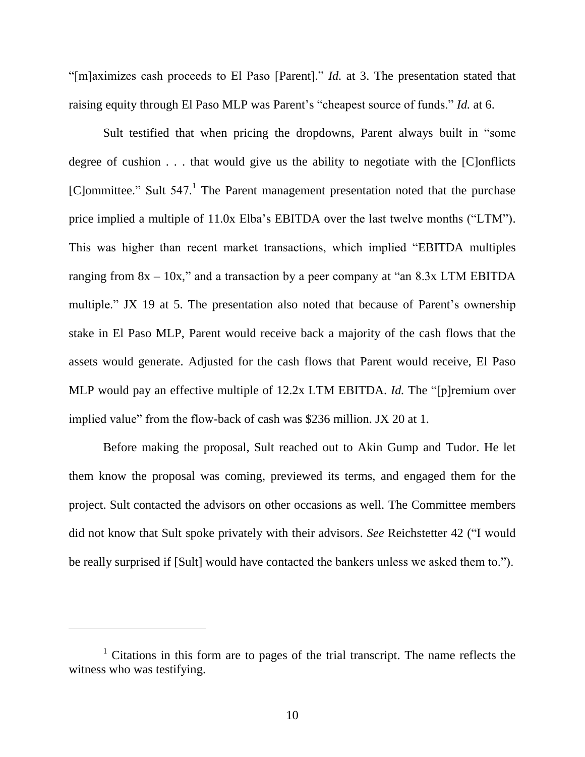"[m]aximizes cash proceeds to El Paso [Parent]." *Id.* at 3. The presentation stated that raising equity through El Paso MLP was Parent's "cheapest source of funds." *Id.* at 6.

Sult testified that when pricing the dropdowns, Parent always built in "some" degree of cushion . . . that would give us the ability to negotiate with the [C]onflicts [C]ommittee." Sult  $547$ .<sup>1</sup> The Parent management presentation noted that the purchase price implied a multiple of  $11.0x$  Elba's EBITDA over the last twelve months ("LTM"). This was higher than recent market transactions, which implied "EBITDA multiples" ranging from  $8x - 10x$ ," and a transaction by a peer company at "an  $8.3x$  LTM EBITDA multiple." JX 19 at 5. The presentation also noted that because of Parent's ownership stake in El Paso MLP, Parent would receive back a majority of the cash flows that the assets would generate. Adjusted for the cash flows that Parent would receive, El Paso MLP would pay an effective multiple of 12.2x LTM EBITDA. *Id.* The "[p]remium over implied value" from the flow-back of cash was \$236 million. JX 20 at 1.

Before making the proposal, Sult reached out to Akin Gump and Tudor. He let them know the proposal was coming, previewed its terms, and engaged them for the project. Sult contacted the advisors on other occasions as well. The Committee members did not know that Sult spoke privately with their advisors. *See* Reichstetter 42 ("I would be really surprised if [Sult] would have contacted the bankers unless we asked them to.").

<sup>&</sup>lt;sup>1</sup> Citations in this form are to pages of the trial transcript. The name reflects the witness who was testifying.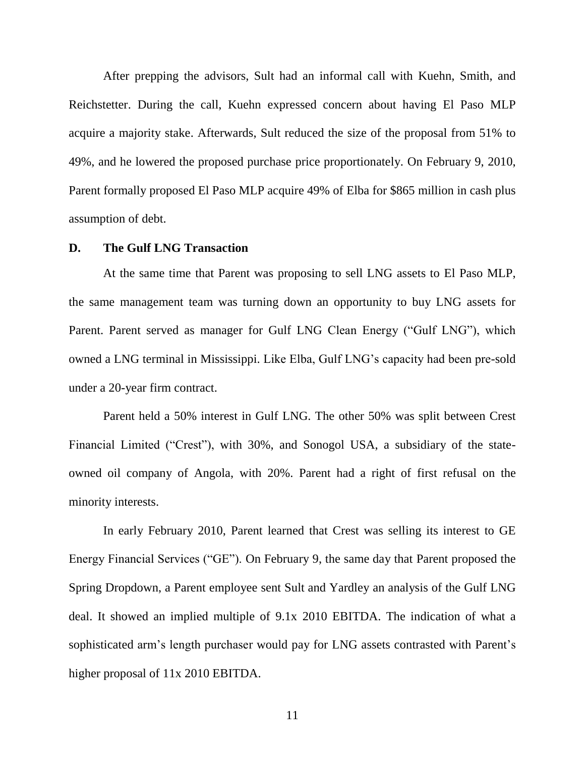After prepping the advisors, Sult had an informal call with Kuehn, Smith, and Reichstetter. During the call, Kuehn expressed concern about having El Paso MLP acquire a majority stake. Afterwards, Sult reduced the size of the proposal from 51% to 49%, and he lowered the proposed purchase price proportionately. On February 9, 2010, Parent formally proposed El Paso MLP acquire 49% of Elba for \$865 million in cash plus assumption of debt.

# **D. The Gulf LNG Transaction**

At the same time that Parent was proposing to sell LNG assets to El Paso MLP, the same management team was turning down an opportunity to buy LNG assets for Parent. Parent served as manager for Gulf LNG Clean Energy ("Gulf LNG"), which owned a LNG terminal in Mississippi. Like Elba, Gulf LNG's capacity had been pre-sold under a 20-year firm contract.

Parent held a 50% interest in Gulf LNG. The other 50% was split between Crest Financial Limited ("Crest"), with 30%, and Sonogol USA, a subsidiary of the stateowned oil company of Angola, with 20%. Parent had a right of first refusal on the minority interests.

In early February 2010, Parent learned that Crest was selling its interest to GE Energy Financial Services ("GE"). On February 9, the same day that Parent proposed the Spring Dropdown, a Parent employee sent Sult and Yardley an analysis of the Gulf LNG deal. It showed an implied multiple of 9.1x 2010 EBITDA. The indication of what a sophisticated arm's length purchaser would pay for LNG assets contrasted with Parent's higher proposal of 11x 2010 EBITDA.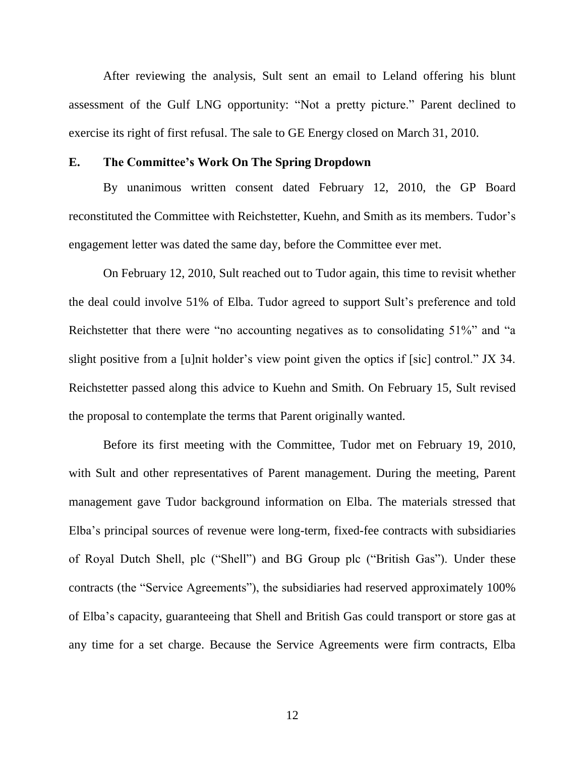After reviewing the analysis, Sult sent an email to Leland offering his blunt assessment of the Gulf LNG opportunity: "Not a pretty picture." Parent declined to exercise its right of first refusal. The sale to GE Energy closed on March 31, 2010.

## **E. The Committee's Work On The Spring Dropdown**

By unanimous written consent dated February 12, 2010, the GP Board reconstituted the Committee with Reichstetter, Kuehn, and Smith as its members. Tudor's engagement letter was dated the same day, before the Committee ever met.

On February 12, 2010, Sult reached out to Tudor again, this time to revisit whether the deal could involve 51% of Elba. Tudor agreed to support Sult's preference and told Reichstetter that there were "no accounting negatives as to consolidating 51%" and "a slight positive from a [u]nit holder's view point given the optics if [sic] control." JX 34. Reichstetter passed along this advice to Kuehn and Smith. On February 15, Sult revised the proposal to contemplate the terms that Parent originally wanted.

Before its first meeting with the Committee, Tudor met on February 19, 2010, with Sult and other representatives of Parent management. During the meeting, Parent management gave Tudor background information on Elba. The materials stressed that Elba's principal sources of revenue were long-term, fixed-fee contracts with subsidiaries of Royal Dutch Shell, plc ("Shell") and BG Group plc ("British Gas"). Under these contracts (the "Service Agreements"), the subsidiaries had reserved approximately 100% of Elba's capacity, guaranteeing that Shell and British Gas could transport or store gas at any time for a set charge. Because the Service Agreements were firm contracts, Elba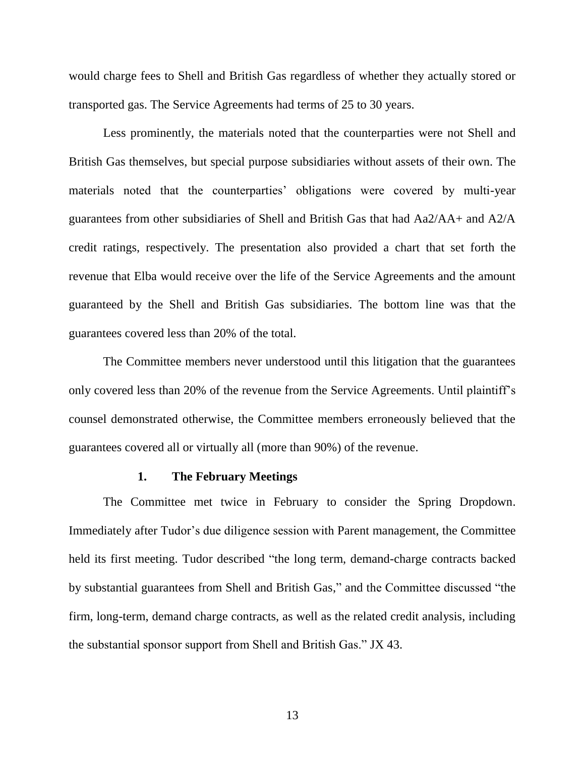would charge fees to Shell and British Gas regardless of whether they actually stored or transported gas. The Service Agreements had terms of 25 to 30 years.

Less prominently, the materials noted that the counterparties were not Shell and British Gas themselves, but special purpose subsidiaries without assets of their own. The materials noted that the counterparties' obligations were covered by multi-year guarantees from other subsidiaries of Shell and British Gas that had Aa2/AA+ and A2/A credit ratings, respectively. The presentation also provided a chart that set forth the revenue that Elba would receive over the life of the Service Agreements and the amount guaranteed by the Shell and British Gas subsidiaries. The bottom line was that the guarantees covered less than 20% of the total.

The Committee members never understood until this litigation that the guarantees only covered less than 20% of the revenue from the Service Agreements. Until plaintiff's counsel demonstrated otherwise, the Committee members erroneously believed that the guarantees covered all or virtually all (more than 90%) of the revenue.

### **1. The February Meetings**

The Committee met twice in February to consider the Spring Dropdown. Immediately after Tudor's due diligence session with Parent management, the Committee held its first meeting. Tudor described "the long term, demand-charge contracts backed by substantial guarantees from Shell and British Gas," and the Committee discussed "the firm, long-term, demand charge contracts, as well as the related credit analysis, including the substantial sponsor support from Shell and British Gas." JX 43.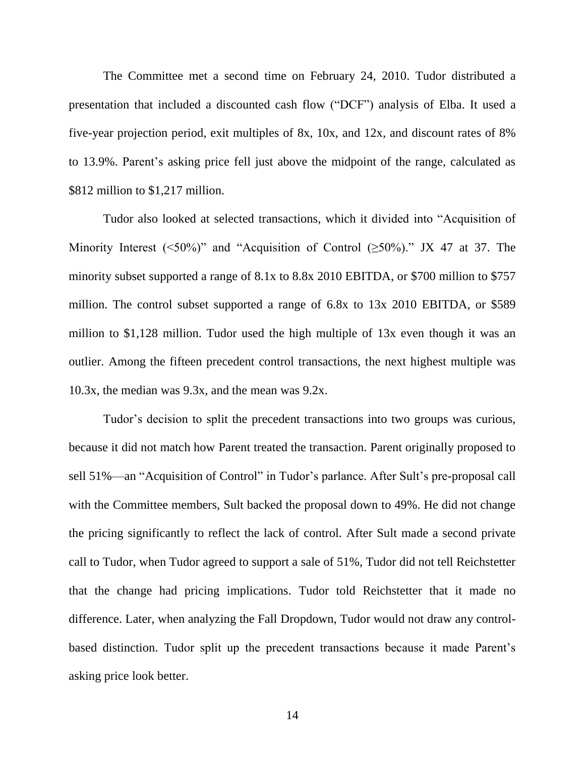The Committee met a second time on February 24, 2010. Tudor distributed a presentation that included a discounted cash flow ("DCF") analysis of Elba. It used a five-year projection period, exit multiples of 8x, 10x, and 12x, and discount rates of 8% to 13.9%. Parent's asking price fell just above the midpoint of the range, calculated as \$812 million to \$1,217 million.

Tudor also looked at selected transactions, which it divided into "Acquisition of Minority Interest (<50%)" and "Acquisition of Control ( $\geq$ 50%)." JX 47 at 37. The minority subset supported a range of 8.1x to 8.8x 2010 EBITDA, or \$700 million to \$757 million. The control subset supported a range of 6.8x to 13x 2010 EBITDA, or \$589 million to \$1,128 million. Tudor used the high multiple of 13x even though it was an outlier. Among the fifteen precedent control transactions, the next highest multiple was 10.3x, the median was 9.3x, and the mean was 9.2x.

Tudor's decision to split the precedent transactions into two groups was curious, because it did not match how Parent treated the transaction. Parent originally proposed to sell 51%—an "Acquisition of Control" in Tudor's parlance. After Sult's pre-proposal call with the Committee members, Sult backed the proposal down to 49%. He did not change the pricing significantly to reflect the lack of control. After Sult made a second private call to Tudor, when Tudor agreed to support a sale of 51%, Tudor did not tell Reichstetter that the change had pricing implications. Tudor told Reichstetter that it made no difference. Later, when analyzing the Fall Dropdown, Tudor would not draw any controlbased distinction. Tudor split up the precedent transactions because it made Parent's asking price look better.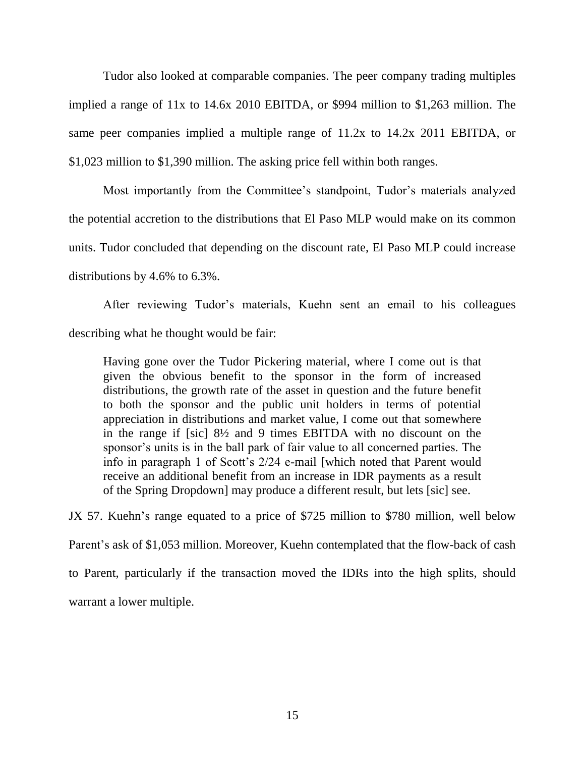Tudor also looked at comparable companies. The peer company trading multiples implied a range of 11x to 14.6x 2010 EBITDA, or \$994 million to \$1,263 million. The same peer companies implied a multiple range of 11.2x to 14.2x 2011 EBITDA, or \$1,023 million to \$1,390 million. The asking price fell within both ranges.

Most importantly from the Committee's standpoint, Tudor's materials analyzed the potential accretion to the distributions that El Paso MLP would make on its common units. Tudor concluded that depending on the discount rate, El Paso MLP could increase distributions by 4.6% to 6.3%.

After reviewing Tudor's materials, Kuehn sent an email to his colleagues describing what he thought would be fair:

Having gone over the Tudor Pickering material, where I come out is that given the obvious benefit to the sponsor in the form of increased distributions, the growth rate of the asset in question and the future benefit to both the sponsor and the public unit holders in terms of potential appreciation in distributions and market value, I come out that somewhere in the range if [sic] 8½ and 9 times EBITDA with no discount on the sponsor's units is in the ball park of fair value to all concerned parties. The info in paragraph 1 of Scott's 2/24 e-mail [which noted that Parent would receive an additional benefit from an increase in IDR payments as a result of the Spring Dropdown] may produce a different result, but lets [sic] see.

JX 57. Kuehn's range equated to a price of \$725 million to \$780 million, well below Parent's ask of \$1,053 million. Moreover, Kuehn contemplated that the flow-back of cash to Parent, particularly if the transaction moved the IDRs into the high splits, should warrant a lower multiple.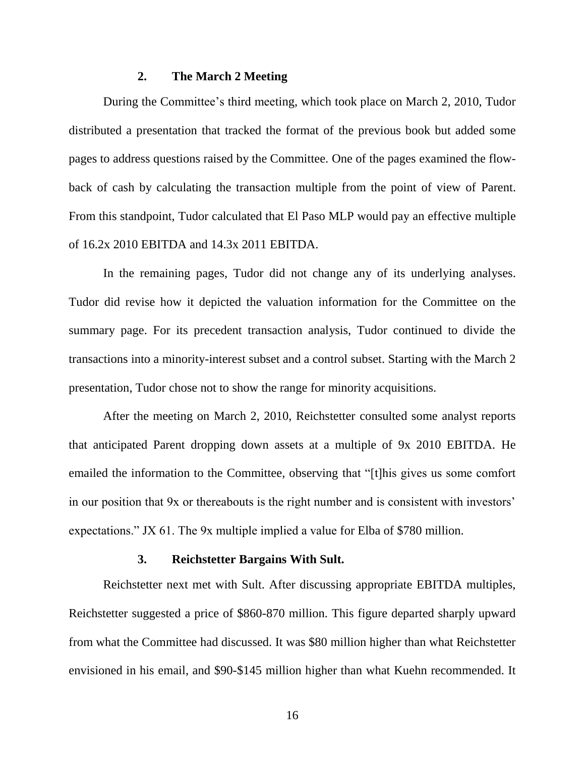## **2. The March 2 Meeting**

During the Committee's third meeting, which took place on March 2, 2010, Tudor distributed a presentation that tracked the format of the previous book but added some pages to address questions raised by the Committee. One of the pages examined the flowback of cash by calculating the transaction multiple from the point of view of Parent. From this standpoint, Tudor calculated that El Paso MLP would pay an effective multiple of 16.2x 2010 EBITDA and 14.3x 2011 EBITDA.

In the remaining pages, Tudor did not change any of its underlying analyses. Tudor did revise how it depicted the valuation information for the Committee on the summary page. For its precedent transaction analysis, Tudor continued to divide the transactions into a minority-interest subset and a control subset. Starting with the March 2 presentation, Tudor chose not to show the range for minority acquisitions.

After the meeting on March 2, 2010, Reichstetter consulted some analyst reports that anticipated Parent dropping down assets at a multiple of 9x 2010 EBITDA. He emailed the information to the Committee, observing that "[t]his gives us some comfort in our position that 9x or thereabouts is the right number and is consistent with investors' expectations." JX 61. The 9x multiple implied a value for Elba of \$780 million.

### **3. Reichstetter Bargains With Sult.**

Reichstetter next met with Sult. After discussing appropriate EBITDA multiples, Reichstetter suggested a price of \$860-870 million. This figure departed sharply upward from what the Committee had discussed. It was \$80 million higher than what Reichstetter envisioned in his email, and \$90-\$145 million higher than what Kuehn recommended. It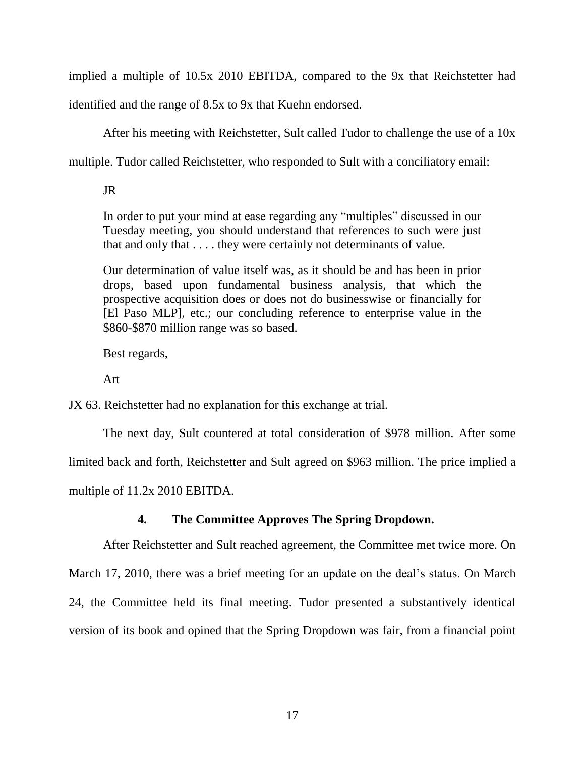implied a multiple of 10.5x 2010 EBITDA, compared to the 9x that Reichstetter had

identified and the range of 8.5x to 9x that Kuehn endorsed.

After his meeting with Reichstetter, Sult called Tudor to challenge the use of a 10x

multiple. Tudor called Reichstetter, who responded to Sult with a conciliatory email:

JR

In order to put your mind at ease regarding any "multiples" discussed in our Tuesday meeting, you should understand that references to such were just that and only that . . . . they were certainly not determinants of value.

Our determination of value itself was, as it should be and has been in prior drops, based upon fundamental business analysis, that which the prospective acquisition does or does not do businesswise or financially for [El Paso MLP], etc.; our concluding reference to enterprise value in the \$860-\$870 million range was so based.

Best regards,

Art

JX 63. Reichstetter had no explanation for this exchange at trial.

The next day, Sult countered at total consideration of \$978 million. After some

limited back and forth, Reichstetter and Sult agreed on \$963 million. The price implied a

multiple of 11.2x 2010 EBITDA.

# **4. The Committee Approves The Spring Dropdown.**

After Reichstetter and Sult reached agreement, the Committee met twice more. On March 17, 2010, there was a brief meeting for an update on the deal's status. On March 24, the Committee held its final meeting. Tudor presented a substantively identical version of its book and opined that the Spring Dropdown was fair, from a financial point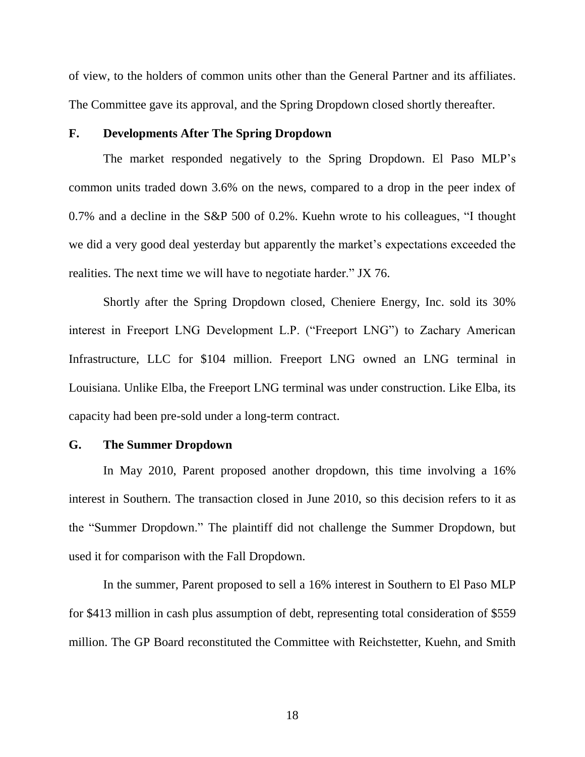of view, to the holders of common units other than the General Partner and its affiliates. The Committee gave its approval, and the Spring Dropdown closed shortly thereafter.

# **F. Developments After The Spring Dropdown**

The market responded negatively to the Spring Dropdown. El Paso MLP's common units traded down 3.6% on the news, compared to a drop in the peer index of  $0.7\%$  and a decline in the S&P 500 of 0.2%. Kuehn wrote to his colleagues, "I thought we did a very good deal yesterday but apparently the market's expectations exceeded the realities. The next time we will have to negotiate harder." JX 76.

Shortly after the Spring Dropdown closed, Cheniere Energy, Inc. sold its 30% interest in Freeport LNG Development L.P. ("Freeport LNG") to Zachary American Infrastructure, LLC for \$104 million. Freeport LNG owned an LNG terminal in Louisiana. Unlike Elba, the Freeport LNG terminal was under construction. Like Elba, its capacity had been pre-sold under a long-term contract.

### **G. The Summer Dropdown**

In May 2010, Parent proposed another dropdown, this time involving a 16% interest in Southern. The transaction closed in June 2010, so this decision refers to it as the "Summer Dropdown." The plaintiff did not challenge the Summer Dropdown, but used it for comparison with the Fall Dropdown.

In the summer, Parent proposed to sell a 16% interest in Southern to El Paso MLP for \$413 million in cash plus assumption of debt, representing total consideration of \$559 million. The GP Board reconstituted the Committee with Reichstetter, Kuehn, and Smith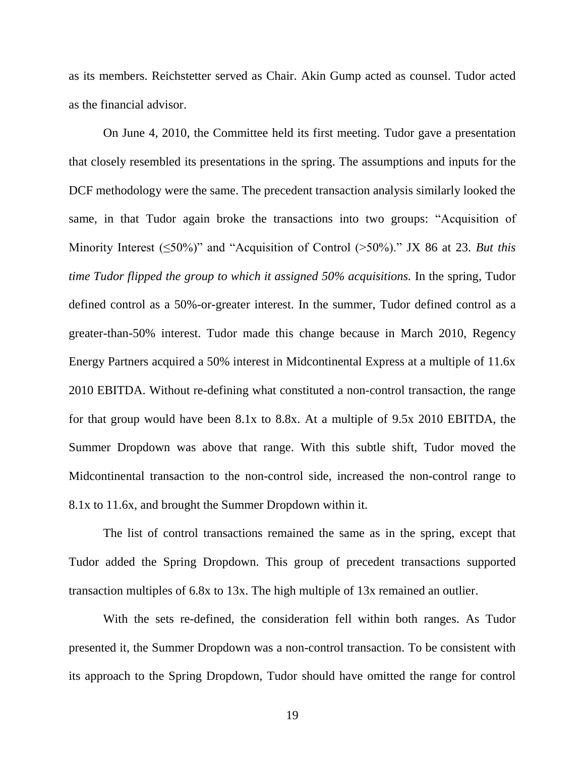as its members. Reichstetter served as Chair. Akin Gump acted as counsel. Tudor acted as the financial advisor.

On June 4, 2010, the Committee held its first meeting. Tudor gave a presentation that closely resembled its presentations in the spring. The assumptions and inputs for the DCF methodology were the same. The precedent transaction analysis similarly looked the same, in that Tudor again broke the transactions into two groups: "Acquisition of Minority Interest  $(\leq 50\%)$ " and "Acquisition of Control  $(>50\%)$ ." JX 86 at 23. *But this time Tudor flipped the group to which it assigned 50% acquisitions.* In the spring, Tudor defined control as a 50%-or-greater interest. In the summer, Tudor defined control as a greater-than-50% interest. Tudor made this change because in March 2010, Regency Energy Partners acquired a 50% interest in Midcontinental Express at a multiple of 11.6x 2010 EBITDA. Without re-defining what constituted a non-control transaction, the range for that group would have been 8.1x to 8.8x. At a multiple of 9.5x 2010 EBITDA, the Summer Dropdown was above that range. With this subtle shift, Tudor moved the Midcontinental transaction to the non-control side, increased the non-control range to 8.1x to 11.6x, and brought the Summer Dropdown within it.

The list of control transactions remained the same as in the spring, except that Tudor added the Spring Dropdown. This group of precedent transactions supported transaction multiples of 6.8x to 13x. The high multiple of 13x remained an outlier.

With the sets re-defined, the consideration fell within both ranges. As Tudor presented it, the Summer Dropdown was a non-control transaction. To be consistent with its approach to the Spring Dropdown, Tudor should have omitted the range for control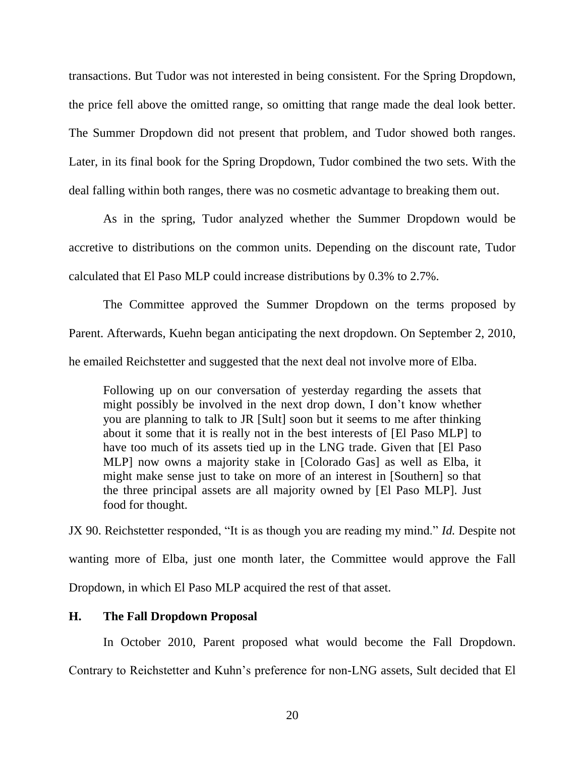transactions. But Tudor was not interested in being consistent. For the Spring Dropdown, the price fell above the omitted range, so omitting that range made the deal look better. The Summer Dropdown did not present that problem, and Tudor showed both ranges. Later, in its final book for the Spring Dropdown, Tudor combined the two sets. With the deal falling within both ranges, there was no cosmetic advantage to breaking them out.

As in the spring, Tudor analyzed whether the Summer Dropdown would be accretive to distributions on the common units. Depending on the discount rate, Tudor calculated that El Paso MLP could increase distributions by 0.3% to 2.7%.

The Committee approved the Summer Dropdown on the terms proposed by Parent. Afterwards, Kuehn began anticipating the next dropdown. On September 2, 2010, he emailed Reichstetter and suggested that the next deal not involve more of Elba.

Following up on our conversation of yesterday regarding the assets that might possibly be involved in the next drop down, I don't know whether you are planning to talk to JR [Sult] soon but it seems to me after thinking about it some that it is really not in the best interests of [El Paso MLP] to have too much of its assets tied up in the LNG trade. Given that [El Paso MLP] now owns a majority stake in [Colorado Gas] as well as Elba, it might make sense just to take on more of an interest in [Southern] so that the three principal assets are all majority owned by [El Paso MLP]. Just food for thought.

JX 90. Reichstetter responded, "It is as though you are reading my mind." *Id.* Despite not wanting more of Elba, just one month later, the Committee would approve the Fall Dropdown, in which El Paso MLP acquired the rest of that asset.

# **H. The Fall Dropdown Proposal**

In October 2010, Parent proposed what would become the Fall Dropdown.

Contrary to Reichstetter and Kuhn's preference for non-LNG assets, Sult decided that El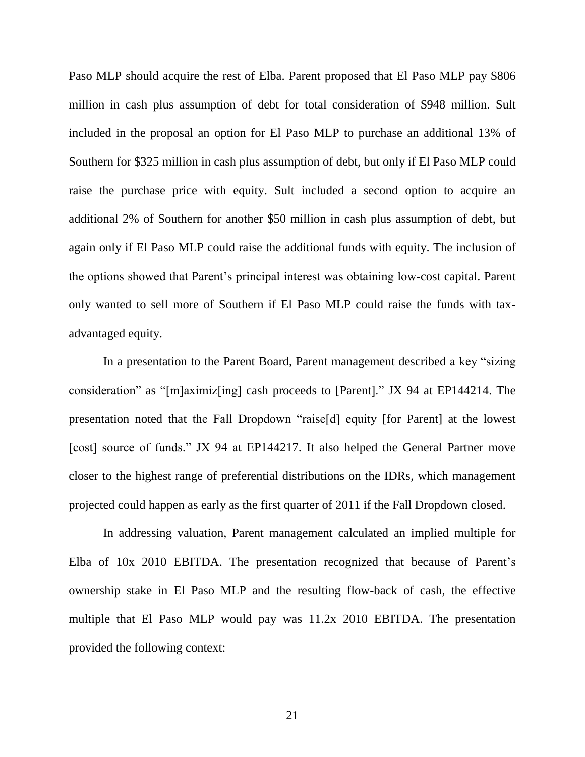Paso MLP should acquire the rest of Elba. Parent proposed that El Paso MLP pay \$806 million in cash plus assumption of debt for total consideration of \$948 million. Sult included in the proposal an option for El Paso MLP to purchase an additional 13% of Southern for \$325 million in cash plus assumption of debt, but only if El Paso MLP could raise the purchase price with equity. Sult included a second option to acquire an additional 2% of Southern for another \$50 million in cash plus assumption of debt, but again only if El Paso MLP could raise the additional funds with equity. The inclusion of the options showed that Parent's principal interest was obtaining low-cost capital. Parent only wanted to sell more of Southern if El Paso MLP could raise the funds with taxadvantaged equity.

In a presentation to the Parent Board, Parent management described a key "sizing" consideration" as "[m]aximiz[ing] cash proceeds to [Parent]." JX 94 at EP144214. The presentation noted that the Fall Dropdown "raise[d] equity [for Parent] at the lowest [cost] source of funds." JX 94 at EP144217. It also helped the General Partner move closer to the highest range of preferential distributions on the IDRs, which management projected could happen as early as the first quarter of 2011 if the Fall Dropdown closed.

In addressing valuation, Parent management calculated an implied multiple for Elba of 10x 2010 EBITDA. The presentation recognized that because of Parent's ownership stake in El Paso MLP and the resulting flow-back of cash, the effective multiple that El Paso MLP would pay was 11.2x 2010 EBITDA. The presentation provided the following context: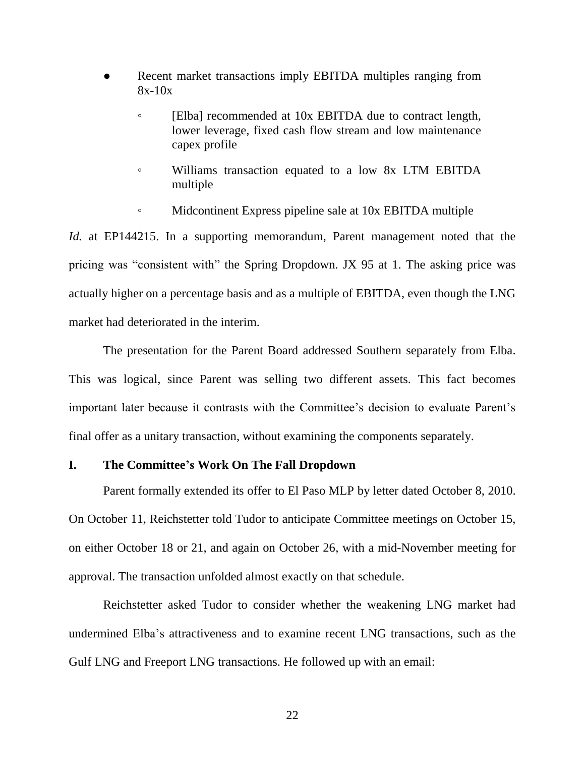- Recent market transactions imply EBITDA multiples ranging from 8x-10x
	- [Elba] recommended at 10x EBITDA due to contract length, lower leverage, fixed cash flow stream and low maintenance capex profile
	- Williams transaction equated to a low 8x LTM EBITDA multiple
	- Midcontinent Express pipeline sale at 10x EBITDA multiple

*Id.* at EP144215. In a supporting memorandum, Parent management noted that the pricing was "consistent with" the Spring Dropdown. JX 95 at 1. The asking price was actually higher on a percentage basis and as a multiple of EBITDA, even though the LNG market had deteriorated in the interim.

The presentation for the Parent Board addressed Southern separately from Elba. This was logical, since Parent was selling two different assets. This fact becomes important later because it contrasts with the Committee's decision to evaluate Parent's final offer as a unitary transaction, without examining the components separately.

# **I. The Committee's Work On The Fall Dropdown**

Parent formally extended its offer to El Paso MLP by letter dated October 8, 2010. On October 11, Reichstetter told Tudor to anticipate Committee meetings on October 15, on either October 18 or 21, and again on October 26, with a mid-November meeting for approval. The transaction unfolded almost exactly on that schedule.

Reichstetter asked Tudor to consider whether the weakening LNG market had undermined Elba's attractiveness and to examine recent LNG transactions, such as the Gulf LNG and Freeport LNG transactions. He followed up with an email: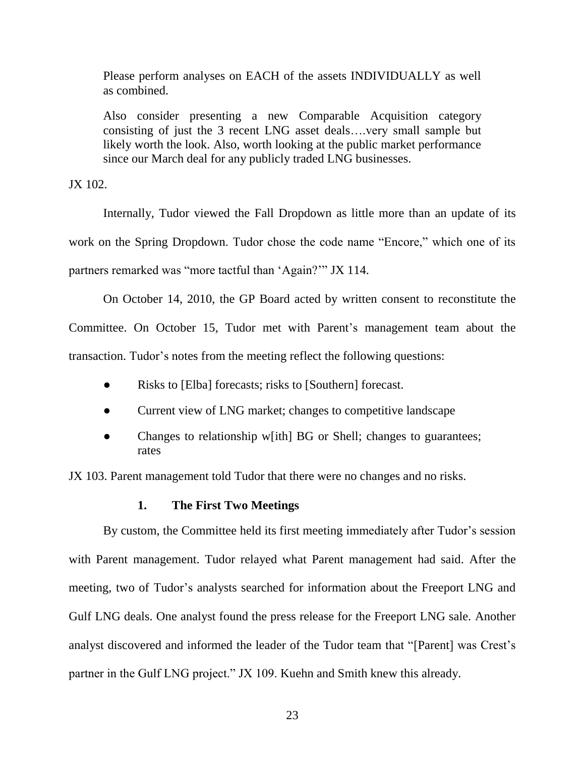Please perform analyses on EACH of the assets INDIVIDUALLY as well as combined.

Also consider presenting a new Comparable Acquisition category consisting of just the 3 recent LNG asset deals….very small sample but likely worth the look. Also, worth looking at the public market performance since our March deal for any publicly traded LNG businesses.

JX 102.

Internally, Tudor viewed the Fall Dropdown as little more than an update of its work on the Spring Dropdown. Tudor chose the code name "Encore," which one of its partners remarked was "more tactful than 'Again?" JX 114.

On October 14, 2010, the GP Board acted by written consent to reconstitute the

Committee. On October 15, Tudor met with Parent's management team about the transaction. Tudor's notes from the meeting reflect the following questions:

- Risks to [Elba] forecasts; risks to [Southern] forecast.
- Current view of LNG market; changes to competitive landscape
- Changes to relationship w[ith] BG or Shell; changes to guarantees; rates

JX 103. Parent management told Tudor that there were no changes and no risks.

# **1. The First Two Meetings**

By custom, the Committee held its first meeting immediately after Tudor's session with Parent management. Tudor relayed what Parent management had said. After the meeting, two of Tudor's analysts searched for information about the Freeport LNG and Gulf LNG deals. One analyst found the press release for the Freeport LNG sale. Another analyst discovered and informed the leader of the Tudor team that "[Parent] was Crest's partner in the Gulf LNG project." JX 109. Kuehn and Smith knew this already.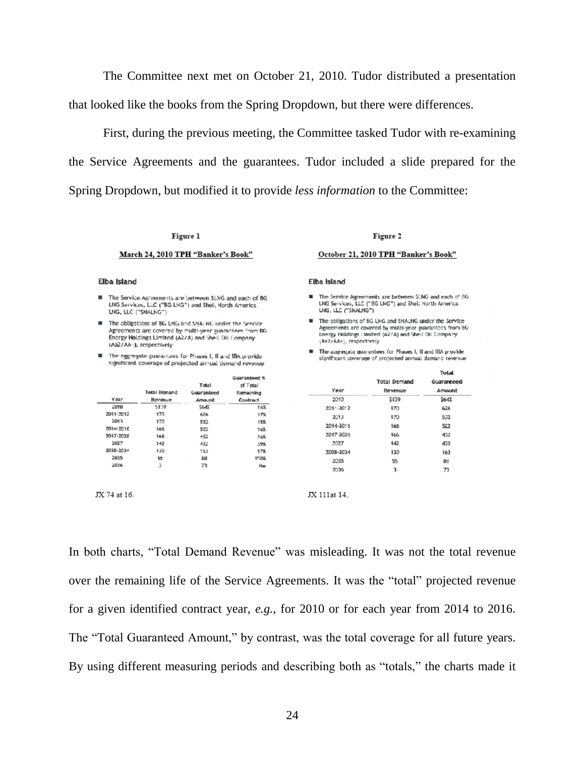The Committee next met on October 21, 2010. Tudor distributed a presentation that looked like the books from the Spring Dropdown, but there were differences.

First, during the previous meeting, the Committee tasked Tudor with re-examining the Service Agreements and the guarantees. Tudor included a slide prepared for the Spring Dropdown, but modified it to provide *less information* to the Committee:

#### Figure 1

#### March 24, 2010 TPH "Banker's Book"

#### Elba Island

- The Service Agreements are between SLNG and each of BG LNG Services, LLC ("BG LNG") and Shell North America LNG, LLC ("SNALNG")
- The obligations of BG LNG and SNALNG under the Service Agreements are covered by multi-year guarantees from BG Energy Holdings Limited (A2/A) and Shell Oil Company (Aa2/AA-), respectively
- The aggregate guarantees for Phases I, II and IBA provide significant coverage of projected annual demand revenue

| Year      | Total Demand<br>Revenue | Total<br>Guaranteed<br>Amount | Guaranteed %<br>of Total<br>Remaining<br>Contract |
|-----------|-------------------------|-------------------------------|---------------------------------------------------|
| 2010      | 5139                    | 5647                          | 16%                                               |
| 2011-2012 | 170                     | 626                           | 17%                                               |
| 2013      | 170                     | 532                           | 15%                                               |
| 2014-2016 | 165                     | 522                           | 16%                                               |
| 2017-2026 | 166                     | 432                           | 168.                                              |
| 2027      | 142                     | 432                           | 39%                                               |
| 2028-2034 | 130                     | 153                           | 17%                                               |
| 2035      | 55                      | 88                            | 150%                                              |
| 2036      | 3                       | 73                            | <b>Niss</b>                                       |

JX 74 at 16.

Figure 2 October 21, 2010 TPH "Banker's Book"

#### Elba Island

- The Service Agreements are between SLNG and each of BG<br>LNG Services, LLC ("BG LNG") and Shell North America LNG, LLC ("SNALNG")
- The obligations of BG LNG and SNALNG under the Service Agreements are covered by multi-year guarantees from BG Energy Holdings Limited (A2/A) and Shell Oil Company  $\langle \Delta a 2/\Delta A+\rangle$ , respectively
- The assregate was antees for Phases I. II and IIIA provide significant coverage of projected annual demand revenue

|           |                     | Total      |  |
|-----------|---------------------|------------|--|
|           | <b>Total Demand</b> | Guaranteed |  |
| Year      | Revenue             | Amount     |  |
| 2010      | \$139               | \$642      |  |
| 2011-2012 | 170                 | 626        |  |
| 2013      | 170                 | 532        |  |
| 2014-2016 | 166                 | 522        |  |
| 2017-2026 | 166                 | 432        |  |
| 2027      | 142                 | 432        |  |
| 2028-2034 | 130                 | 163        |  |
| 2035      | 55                  | 88         |  |
| 2036      | ٦                   | 73         |  |

JX 111at 14.

In both charts, "Total Demand Revenue" was misleading. It was not the total revenue over the remaining life of the Service Agreements. It was the "total" projected revenue for a given identified contract year, *e.g.*, for 2010 or for each year from 2014 to 2016. The "Total Guaranteed Amount," by contrast, was the total coverage for all future years. By using different measuring periods and describing both as "totals," the charts made it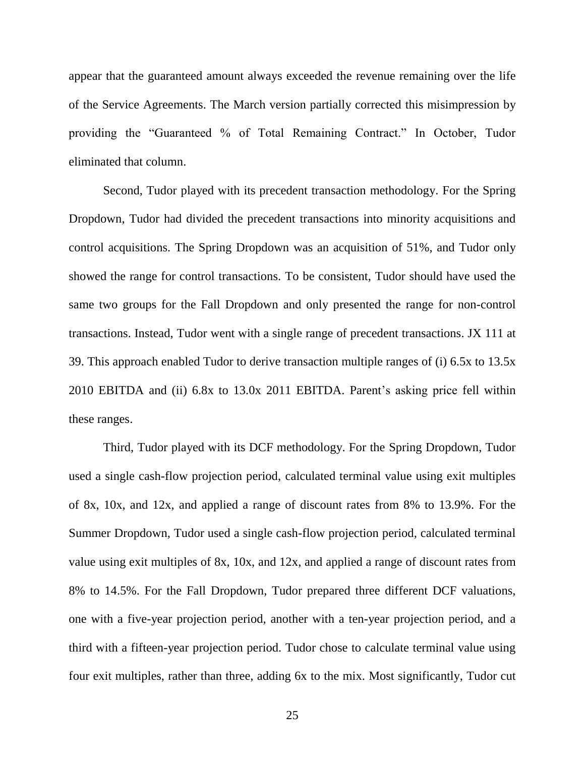appear that the guaranteed amount always exceeded the revenue remaining over the life of the Service Agreements. The March version partially corrected this misimpression by providing the "Guaranteed % of Total Remaining Contract." In October, Tudor eliminated that column.

Second, Tudor played with its precedent transaction methodology. For the Spring Dropdown, Tudor had divided the precedent transactions into minority acquisitions and control acquisitions. The Spring Dropdown was an acquisition of 51%, and Tudor only showed the range for control transactions. To be consistent, Tudor should have used the same two groups for the Fall Dropdown and only presented the range for non-control transactions. Instead, Tudor went with a single range of precedent transactions. JX 111 at 39. This approach enabled Tudor to derive transaction multiple ranges of (i) 6.5x to 13.5x 2010 EBITDA and (ii) 6.8x to 13.0x 2011 EBITDA. Parent's asking price fell within these ranges.

Third, Tudor played with its DCF methodology. For the Spring Dropdown, Tudor used a single cash-flow projection period, calculated terminal value using exit multiples of 8x, 10x, and 12x, and applied a range of discount rates from 8% to 13.9%. For the Summer Dropdown, Tudor used a single cash-flow projection period, calculated terminal value using exit multiples of 8x, 10x, and 12x, and applied a range of discount rates from 8% to 14.5%. For the Fall Dropdown, Tudor prepared three different DCF valuations, one with a five-year projection period, another with a ten-year projection period, and a third with a fifteen-year projection period. Tudor chose to calculate terminal value using four exit multiples, rather than three, adding 6x to the mix. Most significantly, Tudor cut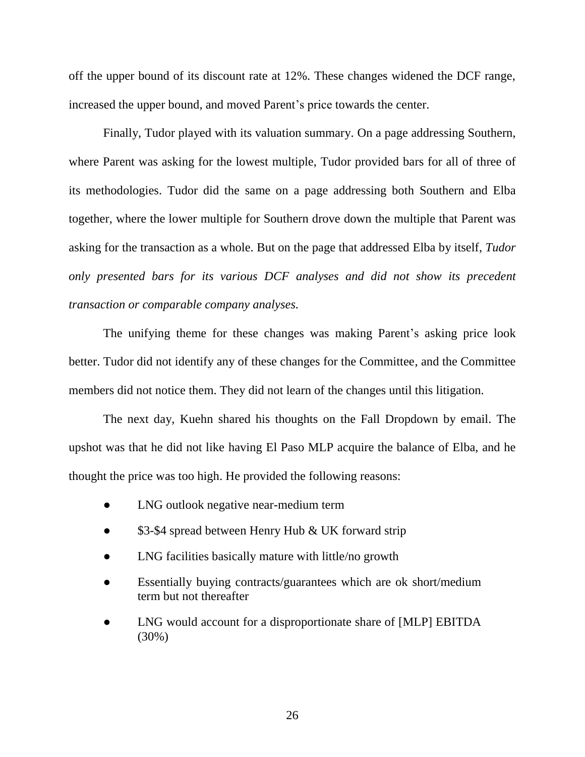off the upper bound of its discount rate at 12%. These changes widened the DCF range, increased the upper bound, and moved Parent's price towards the center.

Finally, Tudor played with its valuation summary. On a page addressing Southern, where Parent was asking for the lowest multiple, Tudor provided bars for all of three of its methodologies. Tudor did the same on a page addressing both Southern and Elba together, where the lower multiple for Southern drove down the multiple that Parent was asking for the transaction as a whole. But on the page that addressed Elba by itself, *Tudor only presented bars for its various DCF analyses and did not show its precedent transaction or comparable company analyses.*

The unifying theme for these changes was making Parent's asking price look better. Tudor did not identify any of these changes for the Committee, and the Committee members did not notice them. They did not learn of the changes until this litigation.

The next day, Kuehn shared his thoughts on the Fall Dropdown by email. The upshot was that he did not like having El Paso MLP acquire the balance of Elba, and he thought the price was too high. He provided the following reasons:

- LNG outlook negative near-medium term
- \$3-\$4 spread between Henry Hub & UK forward strip
- LNG facilities basically mature with little/no growth
- Essentially buying contracts/guarantees which are ok short/medium term but not thereafter
- LNG would account for a disproportionate share of [MLP] EBITDA (30%)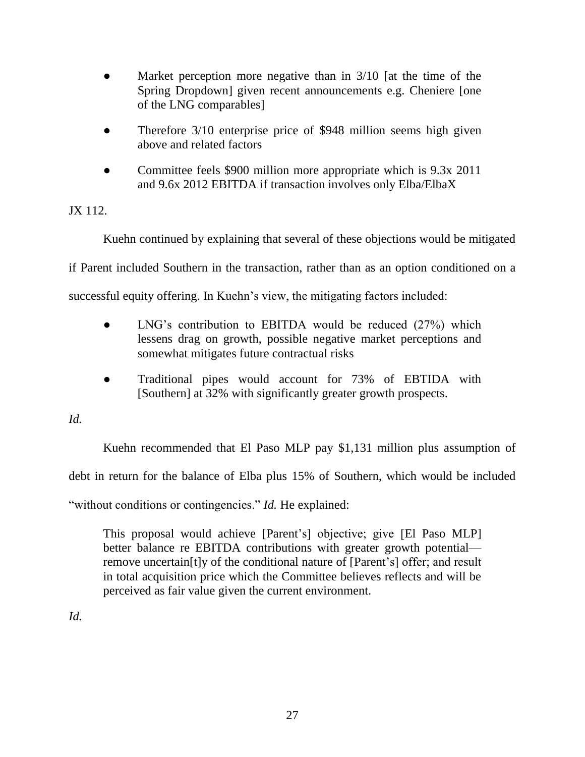- Market perception more negative than in  $3/10$  [at the time of the Spring Dropdown] given recent announcements e.g. Cheniere [one of the LNG comparables]
- Therefore 3/10 enterprise price of \$948 million seems high given above and related factors
- Committee feels \$900 million more appropriate which is 9.3x 2011 and 9.6x 2012 EBITDA if transaction involves only Elba/ElbaX

JX 112.

Kuehn continued by explaining that several of these objections would be mitigated

if Parent included Southern in the transaction, rather than as an option conditioned on a

successful equity offering. In Kuehn's view, the mitigating factors included:

- LNG's contribution to EBITDA would be reduced (27%) which lessens drag on growth, possible negative market perceptions and somewhat mitigates future contractual risks
- Traditional pipes would account for 73% of EBTIDA with [Southern] at 32% with significantly greater growth prospects.

*Id.*

Kuehn recommended that El Paso MLP pay \$1,131 million plus assumption of debt in return for the balance of Elba plus 15% of Southern, which would be included "without conditions or contingencies." *Id.* He explained:

This proposal would achieve [Parent's] objective; give [El Paso MLP] better balance re EBITDA contributions with greater growth potential remove uncertain[t]y of the conditional nature of [Parent's] offer; and result in total acquisition price which the Committee believes reflects and will be

perceived as fair value given the current environment.

*Id.*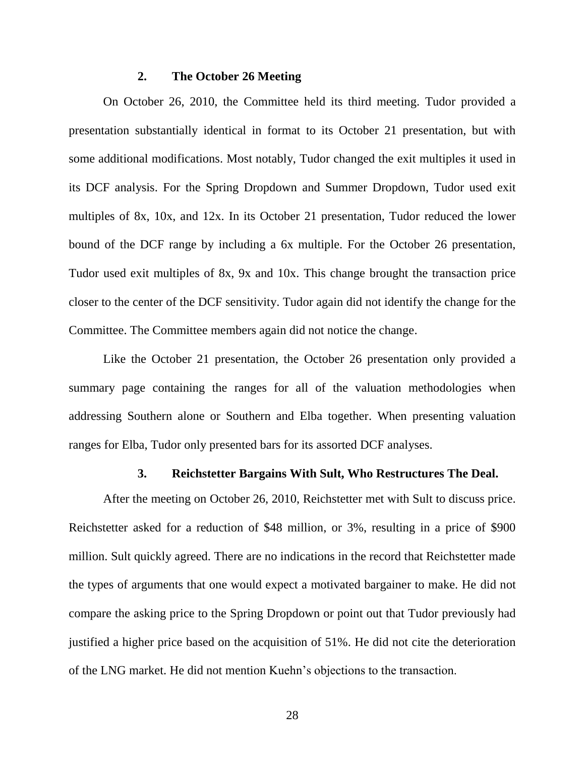## **2. The October 26 Meeting**

On October 26, 2010, the Committee held its third meeting. Tudor provided a presentation substantially identical in format to its October 21 presentation, but with some additional modifications. Most notably, Tudor changed the exit multiples it used in its DCF analysis. For the Spring Dropdown and Summer Dropdown, Tudor used exit multiples of 8x, 10x, and 12x. In its October 21 presentation, Tudor reduced the lower bound of the DCF range by including a 6x multiple. For the October 26 presentation, Tudor used exit multiples of 8x, 9x and 10x. This change brought the transaction price closer to the center of the DCF sensitivity. Tudor again did not identify the change for the Committee. The Committee members again did not notice the change.

Like the October 21 presentation, the October 26 presentation only provided a summary page containing the ranges for all of the valuation methodologies when addressing Southern alone or Southern and Elba together. When presenting valuation ranges for Elba, Tudor only presented bars for its assorted DCF analyses.

## **3. Reichstetter Bargains With Sult, Who Restructures The Deal.**

After the meeting on October 26, 2010, Reichstetter met with Sult to discuss price. Reichstetter asked for a reduction of \$48 million, or 3%, resulting in a price of \$900 million. Sult quickly agreed. There are no indications in the record that Reichstetter made the types of arguments that one would expect a motivated bargainer to make. He did not compare the asking price to the Spring Dropdown or point out that Tudor previously had justified a higher price based on the acquisition of 51%. He did not cite the deterioration of the LNG market. He did not mention Kuehn's objections to the transaction.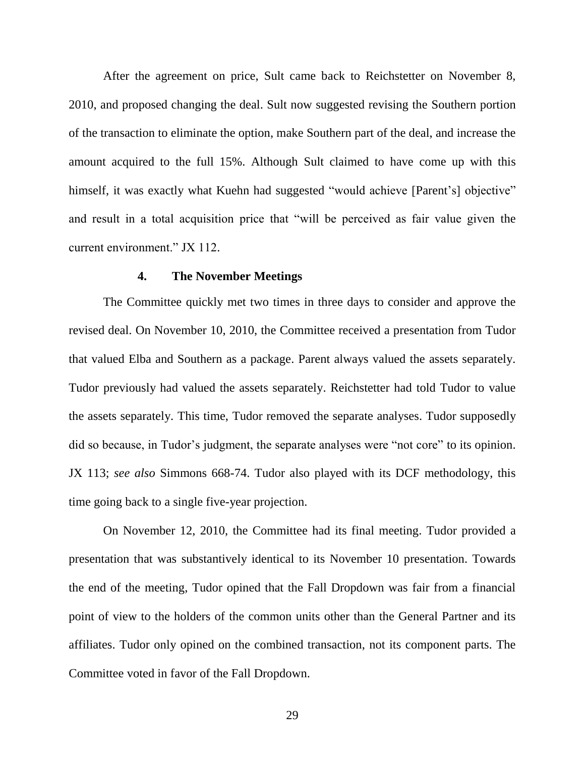After the agreement on price, Sult came back to Reichstetter on November 8, 2010, and proposed changing the deal. Sult now suggested revising the Southern portion of the transaction to eliminate the option, make Southern part of the deal, and increase the amount acquired to the full 15%. Although Sult claimed to have come up with this himself, it was exactly what Kuehn had suggested "would achieve [Parent's] objective" and result in a total acquisition price that "will be perceived as fair value given the current environment." JX 112.

### **4. The November Meetings**

The Committee quickly met two times in three days to consider and approve the revised deal. On November 10, 2010, the Committee received a presentation from Tudor that valued Elba and Southern as a package. Parent always valued the assets separately. Tudor previously had valued the assets separately. Reichstetter had told Tudor to value the assets separately. This time, Tudor removed the separate analyses. Tudor supposedly did so because, in Tudor's judgment, the separate analyses were "not core" to its opinion. JX 113; *see also* Simmons 668-74. Tudor also played with its DCF methodology, this time going back to a single five-year projection.

On November 12, 2010, the Committee had its final meeting. Tudor provided a presentation that was substantively identical to its November 10 presentation. Towards the end of the meeting, Tudor opined that the Fall Dropdown was fair from a financial point of view to the holders of the common units other than the General Partner and its affiliates. Tudor only opined on the combined transaction, not its component parts. The Committee voted in favor of the Fall Dropdown.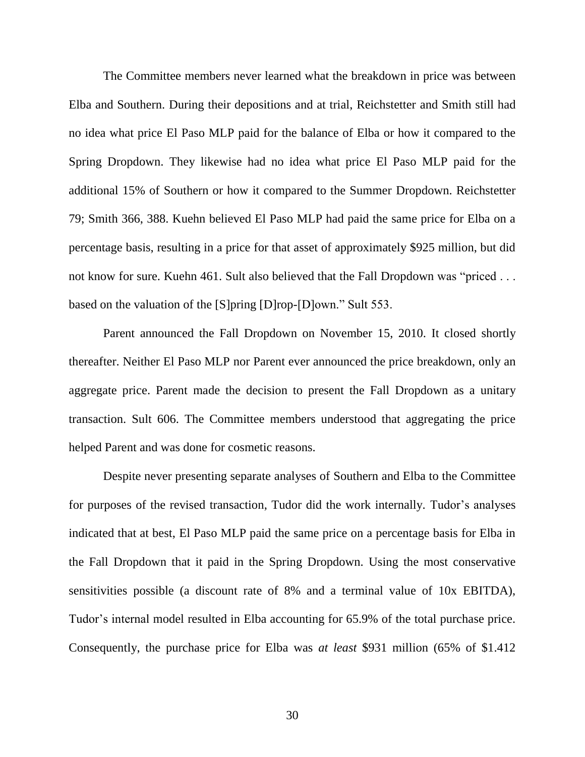The Committee members never learned what the breakdown in price was between Elba and Southern. During their depositions and at trial, Reichstetter and Smith still had no idea what price El Paso MLP paid for the balance of Elba or how it compared to the Spring Dropdown. They likewise had no idea what price El Paso MLP paid for the additional 15% of Southern or how it compared to the Summer Dropdown. Reichstetter 79; Smith 366, 388. Kuehn believed El Paso MLP had paid the same price for Elba on a percentage basis, resulting in a price for that asset of approximately \$925 million, but did not know for sure. Kuehn 461. Sult also believed that the Fall Dropdown was "priced . . . based on the valuation of the [S]pring [D]rop-[D]own." Sult 553.

Parent announced the Fall Dropdown on November 15, 2010. It closed shortly thereafter. Neither El Paso MLP nor Parent ever announced the price breakdown, only an aggregate price. Parent made the decision to present the Fall Dropdown as a unitary transaction. Sult 606. The Committee members understood that aggregating the price helped Parent and was done for cosmetic reasons.

Despite never presenting separate analyses of Southern and Elba to the Committee for purposes of the revised transaction, Tudor did the work internally. Tudor's analyses indicated that at best, El Paso MLP paid the same price on a percentage basis for Elba in the Fall Dropdown that it paid in the Spring Dropdown. Using the most conservative sensitivities possible (a discount rate of 8% and a terminal value of 10x EBITDA), Tudor's internal model resulted in Elba accounting for 65.9% of the total purchase price. Consequently, the purchase price for Elba was *at least* \$931 million (65% of \$1.412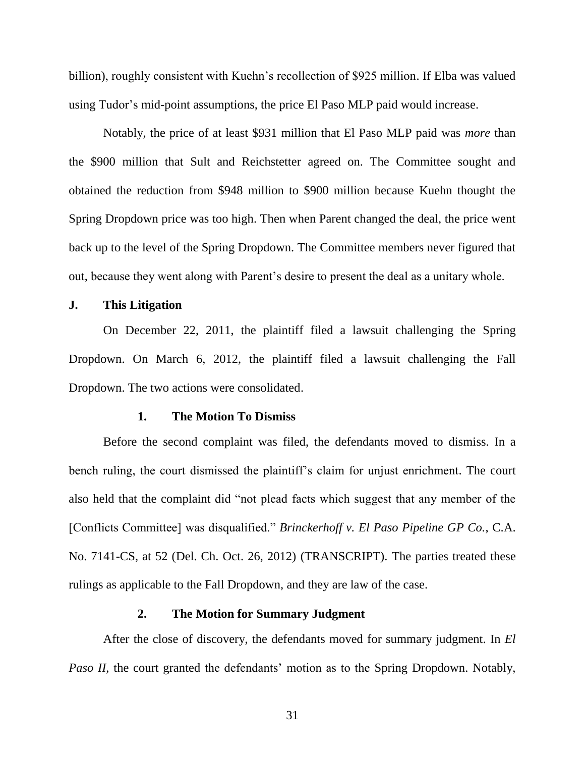billion), roughly consistent with Kuehn's recollection of \$925 million. If Elba was valued using Tudor's mid-point assumptions, the price El Paso MLP paid would increase.

Notably, the price of at least \$931 million that El Paso MLP paid was *more* than the \$900 million that Sult and Reichstetter agreed on. The Committee sought and obtained the reduction from \$948 million to \$900 million because Kuehn thought the Spring Dropdown price was too high. Then when Parent changed the deal, the price went back up to the level of the Spring Dropdown. The Committee members never figured that out, because they went along with Parent's desire to present the deal as a unitary whole.

## **J. This Litigation**

On December 22, 2011, the plaintiff filed a lawsuit challenging the Spring Dropdown. On March 6, 2012, the plaintiff filed a lawsuit challenging the Fall Dropdown. The two actions were consolidated.

### **1. The Motion To Dismiss**

Before the second complaint was filed, the defendants moved to dismiss. In a bench ruling, the court dismissed the plaintiff's claim for unjust enrichment. The court also held that the complaint did "not plead facts which suggest that any member of the [Conflicts Committee] was disqualified." *Brinckerhoff v. El Paso Pipeline GP Co.*, C.A. No. 7141-CS, at 52 (Del. Ch. Oct. 26, 2012) (TRANSCRIPT). The parties treated these rulings as applicable to the Fall Dropdown, and they are law of the case.

### **2. The Motion for Summary Judgment**

After the close of discovery, the defendants moved for summary judgment. In *El Paso II*, the court granted the defendants' motion as to the Spring Dropdown. Notably,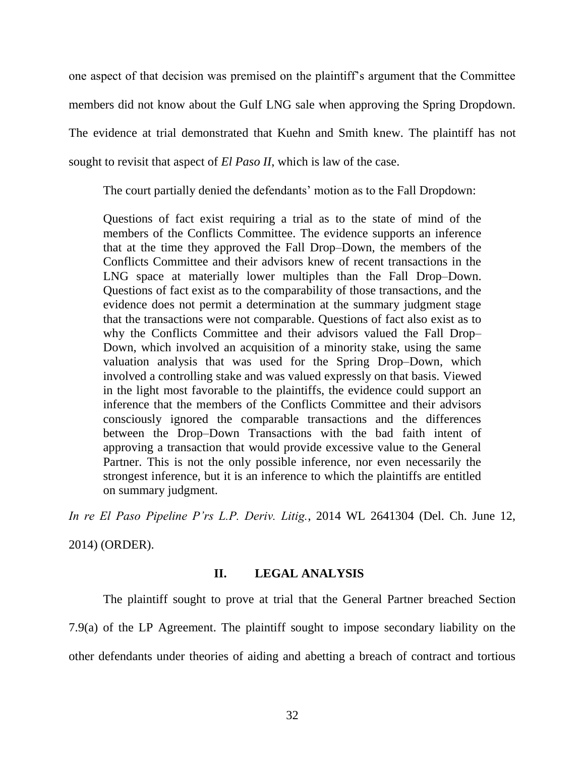one aspect of that decision was premised on the plaintiff's argument that the Committee members did not know about the Gulf LNG sale when approving the Spring Dropdown. The evidence at trial demonstrated that Kuehn and Smith knew. The plaintiff has not sought to revisit that aspect of *El Paso II*, which is law of the case.

The court partially denied the defendants' motion as to the Fall Dropdown:

Questions of fact exist requiring a trial as to the state of mind of the members of the Conflicts Committee. The evidence supports an inference that at the time they approved the Fall Drop–Down, the members of the Conflicts Committee and their advisors knew of recent transactions in the LNG space at materially lower multiples than the Fall Drop–Down. Questions of fact exist as to the comparability of those transactions, and the evidence does not permit a determination at the summary judgment stage that the transactions were not comparable. Questions of fact also exist as to why the Conflicts Committee and their advisors valued the Fall Drop– Down, which involved an acquisition of a minority stake, using the same valuation analysis that was used for the Spring Drop–Down, which involved a controlling stake and was valued expressly on that basis. Viewed in the light most favorable to the plaintiffs, the evidence could support an inference that the members of the Conflicts Committee and their advisors consciously ignored the comparable transactions and the differences between the Drop–Down Transactions with the bad faith intent of approving a transaction that would provide excessive value to the General Partner. This is not the only possible inference, nor even necessarily the strongest inference, but it is an inference to which the plaintiffs are entitled on summary judgment.

*In re El Paso Pipeline P'rs L.P. Deriv. Litig.*, 2014 WL 2641304 (Del. Ch. June 12,

2014) (ORDER).

# **II. LEGAL ANALYSIS**

The plaintiff sought to prove at trial that the General Partner breached Section 7.9(a) of the LP Agreement. The plaintiff sought to impose secondary liability on the other defendants under theories of aiding and abetting a breach of contract and tortious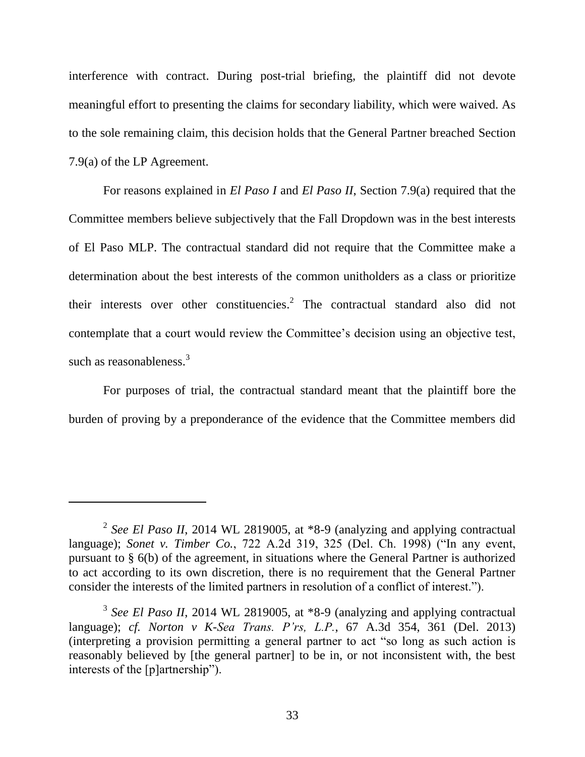interference with contract. During post-trial briefing, the plaintiff did not devote meaningful effort to presenting the claims for secondary liability, which were waived. As to the sole remaining claim, this decision holds that the General Partner breached Section 7.9(a) of the LP Agreement.

For reasons explained in *El Paso I* and *El Paso II*, Section 7.9(a) required that the Committee members believe subjectively that the Fall Dropdown was in the best interests of El Paso MLP. The contractual standard did not require that the Committee make a determination about the best interests of the common unitholders as a class or prioritize their interests over other constituencies.<sup>2</sup> The contractual standard also did not contemplate that a court would review the Committee's decision using an objective test, such as reasonableness.<sup>3</sup>

For purposes of trial, the contractual standard meant that the plaintiff bore the burden of proving by a preponderance of the evidence that the Committee members did

<sup>2</sup> *See El Paso II*, 2014 WL 2819005, at \*8-9 (analyzing and applying contractual language); *Sonet v. Timber Co.*, 722 A.2d 319, 325 (Del. Ch. 1998) ("In any event, pursuant to § 6(b) of the agreement, in situations where the General Partner is authorized to act according to its own discretion, there is no requirement that the General Partner consider the interests of the limited partners in resolution of a conflict of interest.").

<sup>&</sup>lt;sup>3</sup> See El Paso II, 2014 WL 2819005, at \*8-9 (analyzing and applying contractual language); *cf. Norton v K-Sea Trans. P'rs, L.P.*, 67 A.3d 354, 361 (Del. 2013) (interpreting a provision permitting a general partner to act "so long as such action is reasonably believed by [the general partner] to be in, or not inconsistent with, the best interests of the [p]artnership").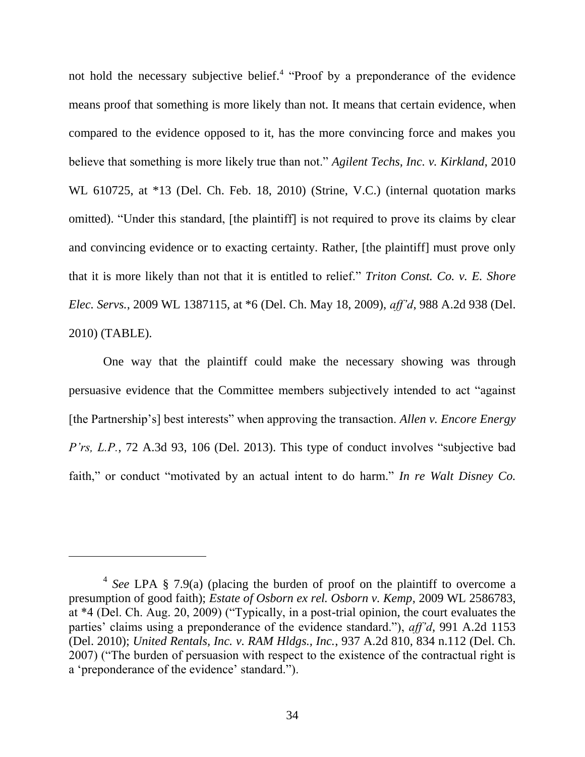not hold the necessary subjective belief.<sup>4</sup> "Proof by a preponderance of the evidence means proof that something is more likely than not. It means that certain evidence, when compared to the evidence opposed to it, has the more convincing force and makes you believe that something is more likely true than not." *Agilent Techs, Inc. v. Kirkland*, 2010 WL 610725, at \*13 (Del. Ch. Feb. 18, 2010) (Strine, V.C.) (internal quotation marks omitted). "Under this standard, [the plaintiff] is not required to prove its claims by clear and convincing evidence or to exacting certainty. Rather, [the plaintiff] must prove only that it is more likely than not that it is entitled to relief.‖ *Triton Const. Co. v. E. Shore Elec. Servs.*, 2009 WL 1387115, at \*6 (Del. Ch. May 18, 2009), *aff'd*, 988 A.2d 938 (Del. 2010) (TABLE).

One way that the plaintiff could make the necessary showing was through persuasive evidence that the Committee members subjectively intended to act "against" [the Partnership's] best interests" when approving the transaction. *Allen v. Encore Energy P'rs, L.P.*, 72 A.3d 93, 106 (Del. 2013). This type of conduct involves "subjective bad faith," or conduct "motivated by an actual intent to do harm." *In re Walt Disney Co.* 

<sup>4</sup> *See* LPA § 7.9(a) (placing the burden of proof on the plaintiff to overcome a presumption of good faith); *Estate of Osborn ex rel. Osborn v. Kemp*, 2009 WL 2586783, at  $*4$  (Del. Ch. Aug. 20, 2009) ("Typically, in a post-trial opinion, the court evaluates the parties' claims using a preponderance of the evidence standard."), *aff'd*, 991 A.2d 1153 (Del. 2010); *United Rentals, Inc. v. RAM Hldgs., Inc.*, 937 A.2d 810, 834 n.112 (Del. Ch. 2007) ("The burden of persuasion with respect to the existence of the contractual right is a 'preponderance of the evidence' standard.").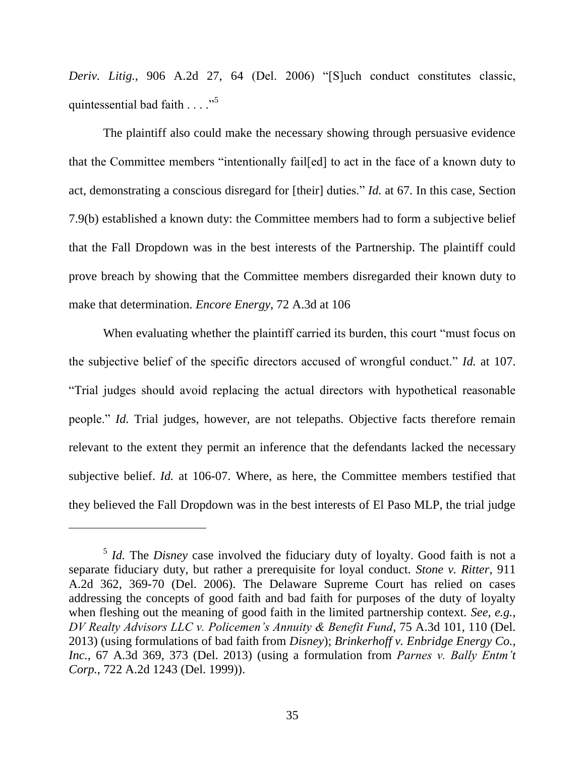*Deriv. Litig.*, 906 A.2d 27, 64 (Del. 2006) "[S]uch conduct constitutes classic, quintessential bad faith  $\ldots$ ."

The plaintiff also could make the necessary showing through persuasive evidence that the Committee members "intentionally fail[ed] to act in the face of a known duty to act, demonstrating a conscious disregard for [their] duties." *Id.* at 67. In this case, Section 7.9(b) established a known duty: the Committee members had to form a subjective belief that the Fall Dropdown was in the best interests of the Partnership. The plaintiff could prove breach by showing that the Committee members disregarded their known duty to make that determination. *Encore Energy*, 72 A.3d at 106

When evaluating whether the plaintiff carried its burden, this court "must focus on the subjective belief of the specific directors accused of wrongful conduct." *Id.* at 107. ―Trial judges should avoid replacing the actual directors with hypothetical reasonable people." *Id.* Trial judges, however, are not telepaths. Objective facts therefore remain relevant to the extent they permit an inference that the defendants lacked the necessary subjective belief. *Id.* at 106-07. Where, as here, the Committee members testified that they believed the Fall Dropdown was in the best interests of El Paso MLP, the trial judge

<sup>&</sup>lt;sup>5</sup> *Id.* The *Disney* case involved the fiduciary duty of loyalty. Good faith is not a separate fiduciary duty, but rather a prerequisite for loyal conduct. *Stone v. Ritter*, 911 A.2d 362, 369-70 (Del. 2006). The Delaware Supreme Court has relied on cases addressing the concepts of good faith and bad faith for purposes of the duty of loyalty when fleshing out the meaning of good faith in the limited partnership context. *See, e.g., DV Realty Advisors LLC v. Policemen's Annuity & Benefit Fund*, 75 A.3d 101, 110 (Del. 2013) (using formulations of bad faith from *Disney*); *Brinkerhoff v. Enbridge Energy Co., Inc.*, 67 A.3d 369, 373 (Del. 2013) (using a formulation from *Parnes v. Bally Entm't Corp.*, 722 A.2d 1243 (Del. 1999)).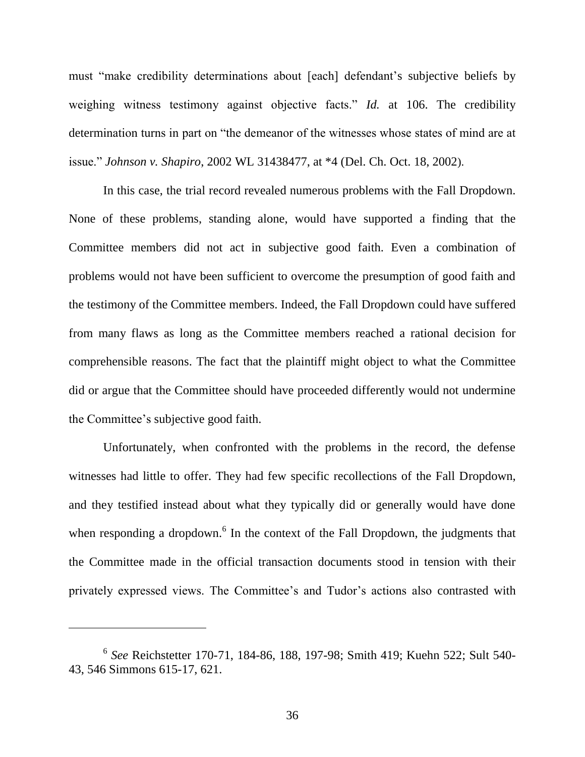must "make credibility determinations about [each] defendant's subjective beliefs by weighing witness testimony against objective facts." *Id.* at 106. The credibility determination turns in part on "the demeanor of the witnesses whose states of mind are at issue.‖ *Johnson v. Shapiro*, 2002 WL 31438477, at \*4 (Del. Ch. Oct. 18, 2002).

In this case, the trial record revealed numerous problems with the Fall Dropdown. None of these problems, standing alone, would have supported a finding that the Committee members did not act in subjective good faith. Even a combination of problems would not have been sufficient to overcome the presumption of good faith and the testimony of the Committee members. Indeed, the Fall Dropdown could have suffered from many flaws as long as the Committee members reached a rational decision for comprehensible reasons. The fact that the plaintiff might object to what the Committee did or argue that the Committee should have proceeded differently would not undermine the Committee's subjective good faith.

Unfortunately, when confronted with the problems in the record, the defense witnesses had little to offer. They had few specific recollections of the Fall Dropdown, and they testified instead about what they typically did or generally would have done when responding a dropdown.<sup>6</sup> In the context of the Fall Dropdown, the judgments that the Committee made in the official transaction documents stood in tension with their privately expressed views. The Committee's and Tudor's actions also contrasted with

<sup>6</sup> *See* Reichstetter 170-71, 184-86, 188, 197-98; Smith 419; Kuehn 522; Sult 540- 43, 546 Simmons 615-17, 621.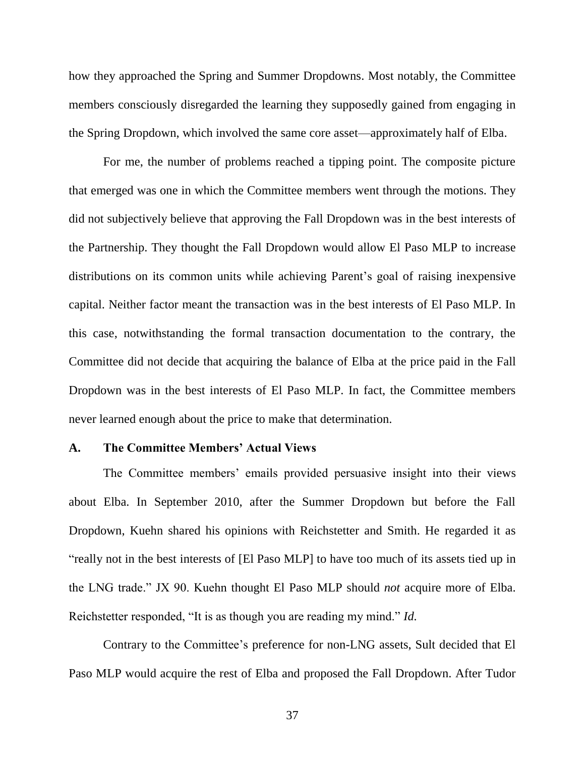how they approached the Spring and Summer Dropdowns. Most notably, the Committee members consciously disregarded the learning they supposedly gained from engaging in the Spring Dropdown, which involved the same core asset—approximately half of Elba.

For me, the number of problems reached a tipping point. The composite picture that emerged was one in which the Committee members went through the motions. They did not subjectively believe that approving the Fall Dropdown was in the best interests of the Partnership. They thought the Fall Dropdown would allow El Paso MLP to increase distributions on its common units while achieving Parent's goal of raising inexpensive capital. Neither factor meant the transaction was in the best interests of El Paso MLP. In this case, notwithstanding the formal transaction documentation to the contrary, the Committee did not decide that acquiring the balance of Elba at the price paid in the Fall Dropdown was in the best interests of El Paso MLP. In fact, the Committee members never learned enough about the price to make that determination.

### **A. The Committee Members' Actual Views**

The Committee members' emails provided persuasive insight into their views about Elba. In September 2010, after the Summer Dropdown but before the Fall Dropdown, Kuehn shared his opinions with Reichstetter and Smith. He regarded it as "really not in the best interests of [El Paso MLP] to have too much of its assets tied up in the LNG trade.‖ JX 90. Kuehn thought El Paso MLP should *not* acquire more of Elba. Reichstetter responded, "It is as though you are reading my mind." *Id.* 

Contrary to the Committee's preference for non-LNG assets, Sult decided that El Paso MLP would acquire the rest of Elba and proposed the Fall Dropdown. After Tudor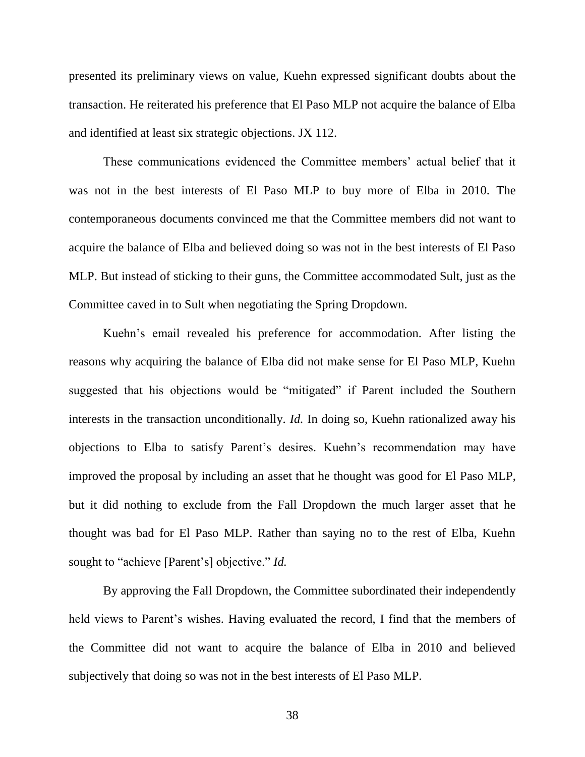presented its preliminary views on value, Kuehn expressed significant doubts about the transaction. He reiterated his preference that El Paso MLP not acquire the balance of Elba and identified at least six strategic objections. JX 112.

These communications evidenced the Committee members' actual belief that it was not in the best interests of El Paso MLP to buy more of Elba in 2010. The contemporaneous documents convinced me that the Committee members did not want to acquire the balance of Elba and believed doing so was not in the best interests of El Paso MLP. But instead of sticking to their guns, the Committee accommodated Sult, just as the Committee caved in to Sult when negotiating the Spring Dropdown.

Kuehn's email revealed his preference for accommodation. After listing the reasons why acquiring the balance of Elba did not make sense for El Paso MLP, Kuehn suggested that his objections would be "mitigated" if Parent included the Southern interests in the transaction unconditionally. *Id.* In doing so, Kuehn rationalized away his objections to Elba to satisfy Parent's desires. Kuehn's recommendation may have improved the proposal by including an asset that he thought was good for El Paso MLP, but it did nothing to exclude from the Fall Dropdown the much larger asset that he thought was bad for El Paso MLP. Rather than saying no to the rest of Elba, Kuehn sought to "achieve [Parent's] objective." *Id.* 

By approving the Fall Dropdown, the Committee subordinated their independently held views to Parent's wishes. Having evaluated the record, I find that the members of the Committee did not want to acquire the balance of Elba in 2010 and believed subjectively that doing so was not in the best interests of El Paso MLP.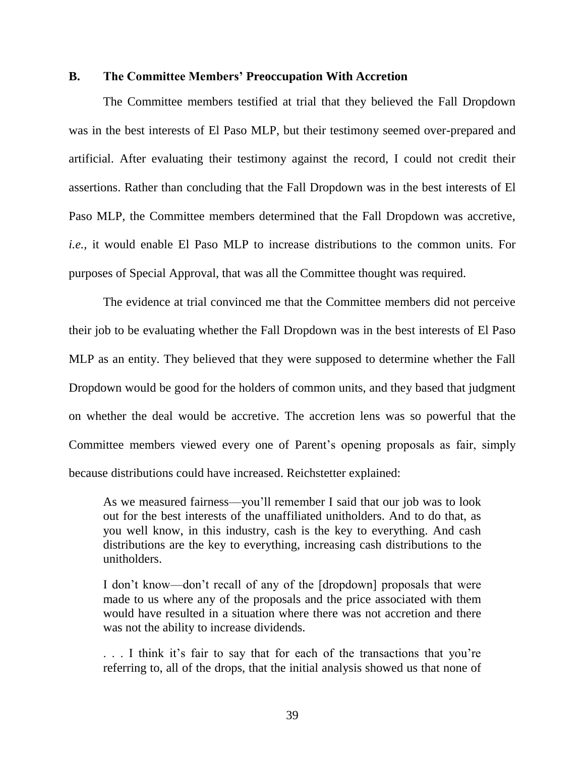### **B. The Committee Members' Preoccupation With Accretion**

The Committee members testified at trial that they believed the Fall Dropdown was in the best interests of El Paso MLP, but their testimony seemed over-prepared and artificial. After evaluating their testimony against the record, I could not credit their assertions. Rather than concluding that the Fall Dropdown was in the best interests of El Paso MLP, the Committee members determined that the Fall Dropdown was accretive, *i.e.*, it would enable El Paso MLP to increase distributions to the common units. For purposes of Special Approval, that was all the Committee thought was required.

The evidence at trial convinced me that the Committee members did not perceive their job to be evaluating whether the Fall Dropdown was in the best interests of El Paso MLP as an entity. They believed that they were supposed to determine whether the Fall Dropdown would be good for the holders of common units, and they based that judgment on whether the deal would be accretive. The accretion lens was so powerful that the Committee members viewed every one of Parent's opening proposals as fair, simply because distributions could have increased. Reichstetter explained:

As we measured fairness—you'll remember I said that our job was to look out for the best interests of the unaffiliated unitholders. And to do that, as you well know, in this industry, cash is the key to everything. And cash distributions are the key to everything, increasing cash distributions to the unitholders.

I don't know—don't recall of any of the [dropdown] proposals that were made to us where any of the proposals and the price associated with them would have resulted in a situation where there was not accretion and there was not the ability to increase dividends.

. . . I think it's fair to say that for each of the transactions that you're referring to, all of the drops, that the initial analysis showed us that none of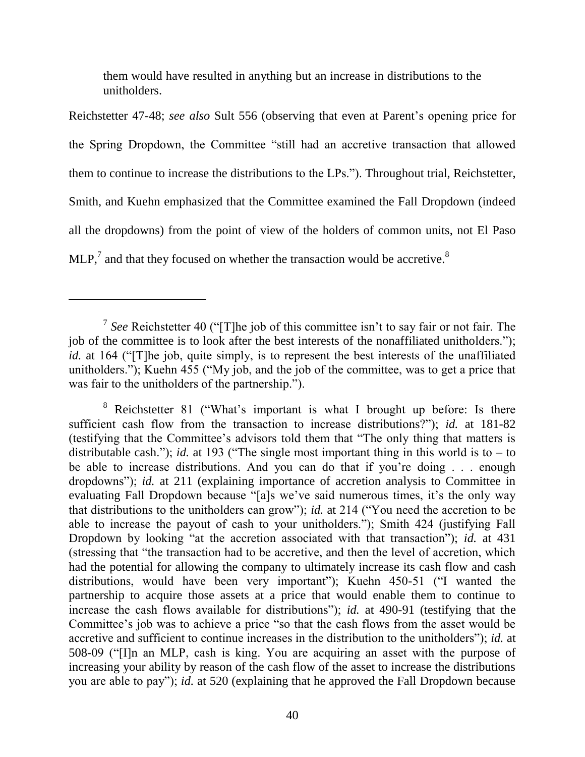them would have resulted in anything but an increase in distributions to the unitholders.

Reichstetter 47-48; *see also* Sult 556 (observing that even at Parent's opening price for the Spring Dropdown, the Committee "still had an accretive transaction that allowed them to continue to increase the distributions to the LPs."). Throughout trial, Reichstetter, Smith, and Kuehn emphasized that the Committee examined the Fall Dropdown (indeed all the dropdowns) from the point of view of the holders of common units, not El Paso  $MLP<sub>1</sub><sup>7</sup>$  and that they focused on whether the transaction would be accretive.<sup>8</sup>

<sup>&</sup>lt;sup>7</sup> See Reichstetter 40 ("[T]he job of this committee isn't to say fair or not fair. The job of the committee is to look after the best interests of the nonaffiliated unitholders."); *id.* at 164 ("[T]he job, quite simply, is to represent the best interests of the unaffiliated unitholders."); Kuehn  $455$  ("My job, and the job of the committee, was to get a price that was fair to the unitholders of the partnership.").

 $8$  Reichstetter 81 ("What's important is what I brought up before: Is there sufficient cash flow from the transaction to increase distributions?"); *id.* at 181-82 (testifying that the Committee's advisors told them that "The only thing that matters is distributable cash."); *id.* at 193 ("The single most important thing in this world is to – to be able to increase distributions. And you can do that if you're doing . . . enough dropdowns"); *id.* at 211 (explaining importance of accretion analysis to Committee in evaluating Fall Dropdown because "[a]s we've said numerous times, it's the only way that distributions to the unitholders can grow"); *id.* at 214 ("You need the accretion to be able to increase the payout of cash to your unitholders."); Smith 424 (justifying Fall Dropdown by looking "at the accretion associated with that transaction"); *id.* at 431 (stressing that "the transaction had to be accretive, and then the level of accretion, which had the potential for allowing the company to ultimately increase its cash flow and cash distributions, would have been very important"); Kuehn  $450-51$  ("I wanted the partnership to acquire those assets at a price that would enable them to continue to increase the cash flows available for distributions"); *id.* at 490-91 (testifying that the Committee's job was to achieve a price "so that the cash flows from the asset would be accretive and sufficient to continue increases in the distribution to the unitholders"); *id.* at 508-09 ("Iln an MLP, cash is king. You are acquiring an asset with the purpose of increasing your ability by reason of the cash flow of the asset to increase the distributions you are able to pay"); *id.* at 520 (explaining that he approved the Fall Dropdown because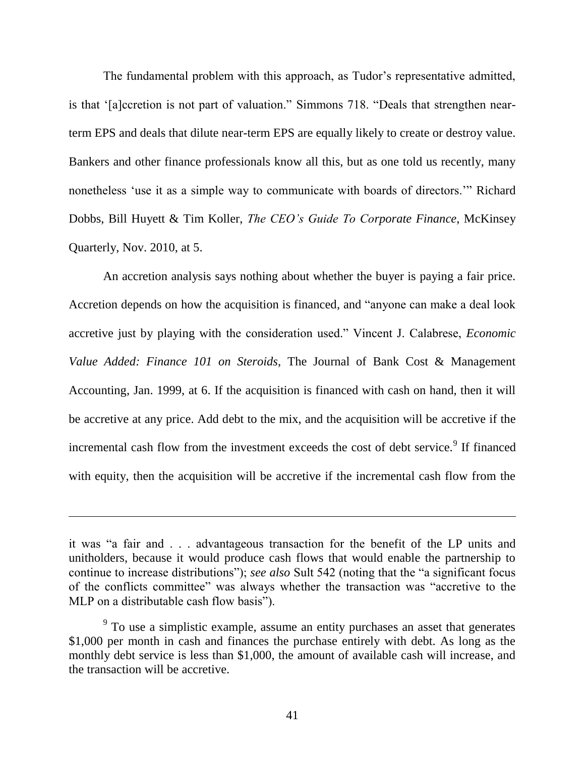The fundamental problem with this approach, as Tudor's representative admitted, is that '[a]ccretion is not part of valuation." Simmons 718. "Deals that strengthen nearterm EPS and deals that dilute near-term EPS are equally likely to create or destroy value. Bankers and other finance professionals know all this, but as one told us recently, many nonetheless 'use it as a simple way to communicate with boards of directors.'" Richard Dobbs, Bill Huyett & Tim Koller, *The CEO's Guide To Corporate Finance*, McKinsey Quarterly, Nov. 2010, at 5.

An accretion analysis says nothing about whether the buyer is paying a fair price. Accretion depends on how the acquisition is financed, and "anyone can make a deal look accretive just by playing with the consideration used." Vincent J. Calabrese, *Economic Value Added: Finance 101 on Steroids*, The Journal of Bank Cost & Management Accounting, Jan. 1999, at 6. If the acquisition is financed with cash on hand, then it will be accretive at any price. Add debt to the mix, and the acquisition will be accretive if the incremental cash flow from the investment exceeds the cost of debt service.<sup>9</sup> If financed with equity, then the acquisition will be accretive if the incremental cash flow from the

it was "a fair and . . . advantageous transaction for the benefit of the LP units and unitholders, because it would produce cash flows that would enable the partnership to continue to increase distributions"); *see also* Sult 542 (noting that the "a significant focus of the conflicts committee" was always whether the transaction was "accretive to the MLP on a distributable cash flow basis").

 $9<sup>9</sup>$  To use a simplistic example, assume an entity purchases an asset that generates \$1,000 per month in cash and finances the purchase entirely with debt. As long as the monthly debt service is less than \$1,000, the amount of available cash will increase, and the transaction will be accretive.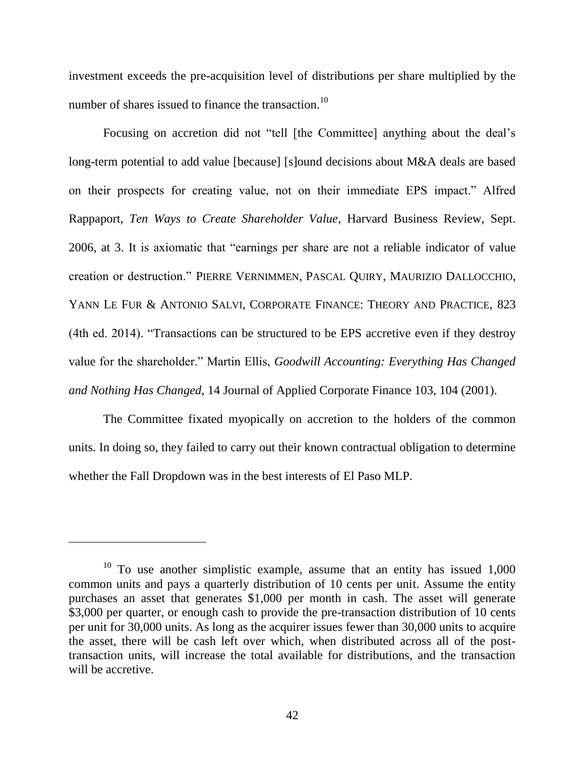investment exceeds the pre-acquisition level of distributions per share multiplied by the number of shares issued to finance the transaction.<sup>10</sup>

Focusing on accretion did not "tell [the Committee] anything about the deal's long-term potential to add value [because] [s]ound decisions about M&A deals are based on their prospects for creating value, not on their immediate EPS impact." Alfred Rappaport, *Ten Ways to Create Shareholder Value*, Harvard Business Review, Sept. 2006, at 3. It is axiomatic that "earnings per share are not a reliable indicator of value creation or destruction.‖ PIERRE VERNIMMEN, PASCAL QUIRY, MAURIZIO DALLOCCHIO, YANN LE FUR & ANTONIO SALVI, CORPORATE FINANCE: THEORY AND PRACTICE, 823 (4th ed. 2014). "Transactions can be structured to be EPS accretive even if they destroy value for the shareholder.‖ Martin Ellis, *Goodwill Accounting: Everything Has Changed and Nothing Has Changed*, 14 Journal of Applied Corporate Finance 103, 104 (2001).

The Committee fixated myopically on accretion to the holders of the common units. In doing so, they failed to carry out their known contractual obligation to determine whether the Fall Dropdown was in the best interests of El Paso MLP.

 $10$  To use another simplistic example, assume that an entity has issued 1,000 common units and pays a quarterly distribution of 10 cents per unit. Assume the entity purchases an asset that generates \$1,000 per month in cash. The asset will generate \$3,000 per quarter, or enough cash to provide the pre-transaction distribution of 10 cents per unit for 30,000 units. As long as the acquirer issues fewer than 30,000 units to acquire the asset, there will be cash left over which, when distributed across all of the posttransaction units, will increase the total available for distributions, and the transaction will be accretive.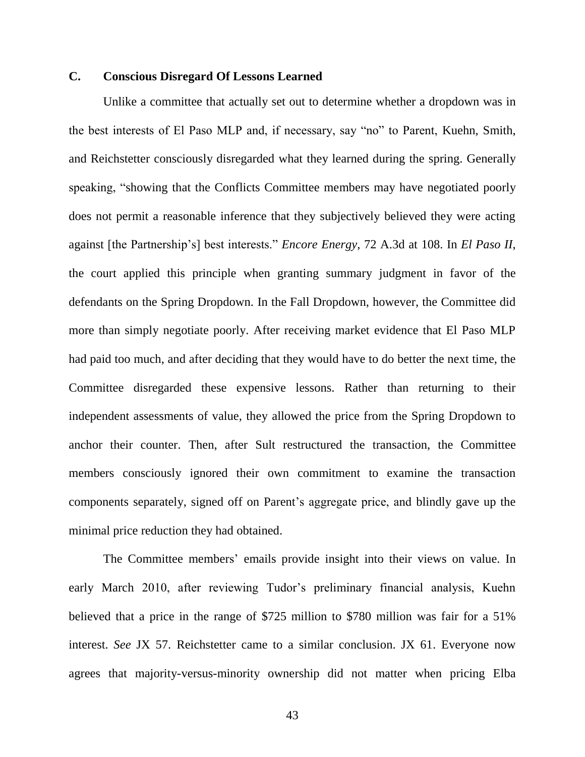# **C. Conscious Disregard Of Lessons Learned**

Unlike a committee that actually set out to determine whether a dropdown was in the best interests of El Paso MLP and, if necessary, say "no" to Parent, Kuehn, Smith, and Reichstetter consciously disregarded what they learned during the spring. Generally speaking, "showing that the Conflicts Committee members may have negotiated poorly does not permit a reasonable inference that they subjectively believed they were acting against [the Partnership's] best interests." *Encore Energy*, 72 A.3d at 108. In *El Paso II*, the court applied this principle when granting summary judgment in favor of the defendants on the Spring Dropdown. In the Fall Dropdown, however, the Committee did more than simply negotiate poorly. After receiving market evidence that El Paso MLP had paid too much, and after deciding that they would have to do better the next time, the Committee disregarded these expensive lessons. Rather than returning to their independent assessments of value, they allowed the price from the Spring Dropdown to anchor their counter. Then, after Sult restructured the transaction, the Committee members consciously ignored their own commitment to examine the transaction components separately, signed off on Parent's aggregate price, and blindly gave up the minimal price reduction they had obtained.

The Committee members' emails provide insight into their views on value. In early March 2010, after reviewing Tudor's preliminary financial analysis, Kuehn believed that a price in the range of \$725 million to \$780 million was fair for a 51% interest. *See* JX 57. Reichstetter came to a similar conclusion. JX 61. Everyone now agrees that majority-versus-minority ownership did not matter when pricing Elba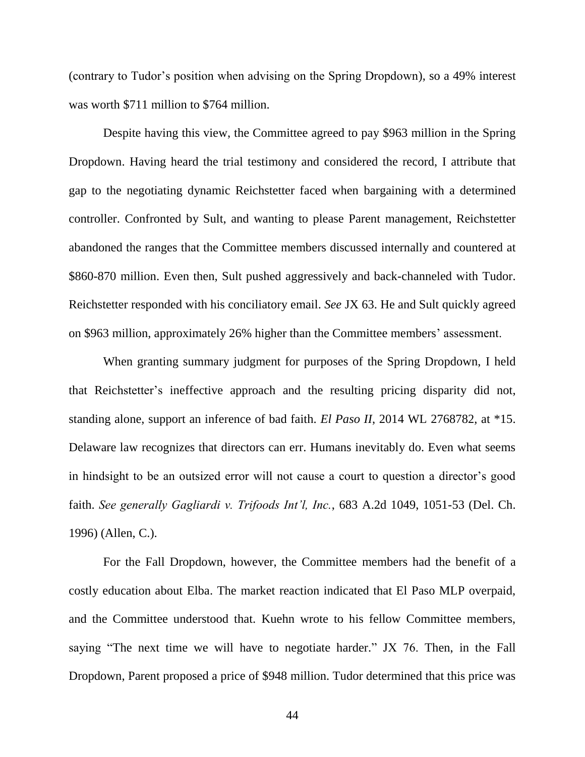(contrary to Tudor's position when advising on the Spring Dropdown), so a 49% interest was worth \$711 million to \$764 million.

Despite having this view, the Committee agreed to pay \$963 million in the Spring Dropdown. Having heard the trial testimony and considered the record, I attribute that gap to the negotiating dynamic Reichstetter faced when bargaining with a determined controller. Confronted by Sult, and wanting to please Parent management, Reichstetter abandoned the ranges that the Committee members discussed internally and countered at \$860-870 million. Even then, Sult pushed aggressively and back-channeled with Tudor. Reichstetter responded with his conciliatory email. *See* JX 63. He and Sult quickly agreed on \$963 million, approximately 26% higher than the Committee members' assessment.

When granting summary judgment for purposes of the Spring Dropdown, I held that Reichstetter's ineffective approach and the resulting pricing disparity did not, standing alone, support an inference of bad faith. *El Paso II*, 2014 WL 2768782, at \*15. Delaware law recognizes that directors can err. Humans inevitably do. Even what seems in hindsight to be an outsized error will not cause a court to question a director's good faith. *See generally Gagliardi v. Trifoods Int'l, Inc.*, 683 A.2d 1049, 1051-53 (Del. Ch. 1996) (Allen, C.).

For the Fall Dropdown, however, the Committee members had the benefit of a costly education about Elba. The market reaction indicated that El Paso MLP overpaid, and the Committee understood that. Kuehn wrote to his fellow Committee members, saying "The next time we will have to negotiate harder." JX  $76$ . Then, in the Fall Dropdown, Parent proposed a price of \$948 million. Tudor determined that this price was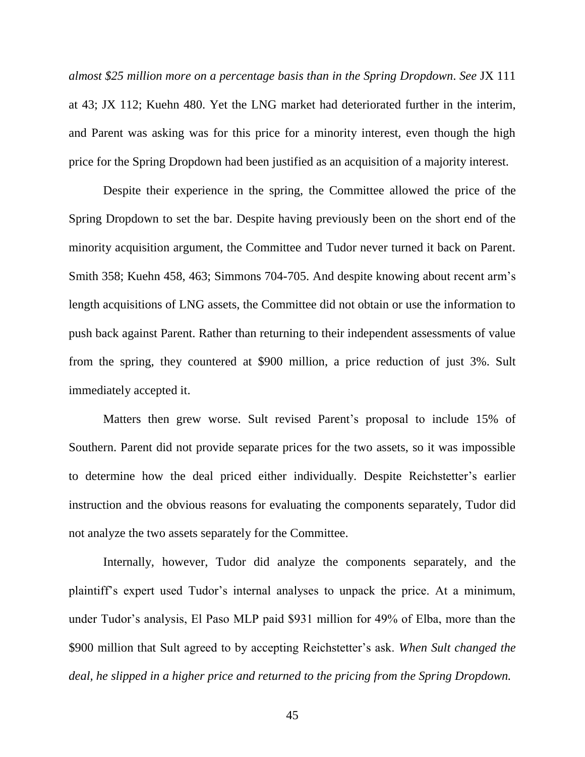*almost \$25 million more on a percentage basis than in the Spring Dropdown*. *See* JX 111 at 43; JX 112; Kuehn 480. Yet the LNG market had deteriorated further in the interim, and Parent was asking was for this price for a minority interest, even though the high price for the Spring Dropdown had been justified as an acquisition of a majority interest.

Despite their experience in the spring, the Committee allowed the price of the Spring Dropdown to set the bar. Despite having previously been on the short end of the minority acquisition argument, the Committee and Tudor never turned it back on Parent. Smith 358; Kuehn 458, 463; Simmons 704-705. And despite knowing about recent arm's length acquisitions of LNG assets, the Committee did not obtain or use the information to push back against Parent. Rather than returning to their independent assessments of value from the spring, they countered at \$900 million, a price reduction of just 3%. Sult immediately accepted it.

Matters then grew worse. Sult revised Parent's proposal to include 15% of Southern. Parent did not provide separate prices for the two assets, so it was impossible to determine how the deal priced either individually. Despite Reichstetter's earlier instruction and the obvious reasons for evaluating the components separately, Tudor did not analyze the two assets separately for the Committee.

Internally, however, Tudor did analyze the components separately, and the plaintiff's expert used Tudor's internal analyses to unpack the price. At a minimum, under Tudor's analysis, El Paso MLP paid \$931 million for 49% of Elba, more than the \$900 million that Sult agreed to by accepting Reichstetter's ask. *When Sult changed the deal, he slipped in a higher price and returned to the pricing from the Spring Dropdown.*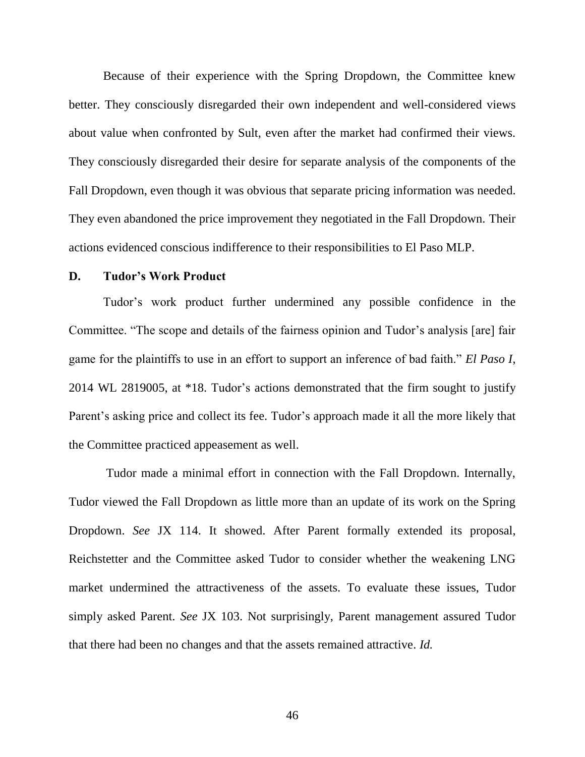Because of their experience with the Spring Dropdown, the Committee knew better. They consciously disregarded their own independent and well-considered views about value when confronted by Sult, even after the market had confirmed their views. They consciously disregarded their desire for separate analysis of the components of the Fall Dropdown, even though it was obvious that separate pricing information was needed. They even abandoned the price improvement they negotiated in the Fall Dropdown. Their actions evidenced conscious indifference to their responsibilities to El Paso MLP.

### **D. Tudor's Work Product**

Tudor's work product further undermined any possible confidence in the Committee. "The scope and details of the fairness opinion and Tudor's analysis [are] fair game for the plaintiffs to use in an effort to support an inference of bad faith." *El Paso I*, 2014 WL 2819005, at \*18. Tudor's actions demonstrated that the firm sought to justify Parent's asking price and collect its fee. Tudor's approach made it all the more likely that the Committee practiced appeasement as well.

Tudor made a minimal effort in connection with the Fall Dropdown. Internally, Tudor viewed the Fall Dropdown as little more than an update of its work on the Spring Dropdown. *See* JX 114. It showed. After Parent formally extended its proposal, Reichstetter and the Committee asked Tudor to consider whether the weakening LNG market undermined the attractiveness of the assets. To evaluate these issues, Tudor simply asked Parent. *See* JX 103. Not surprisingly, Parent management assured Tudor that there had been no changes and that the assets remained attractive. *Id.*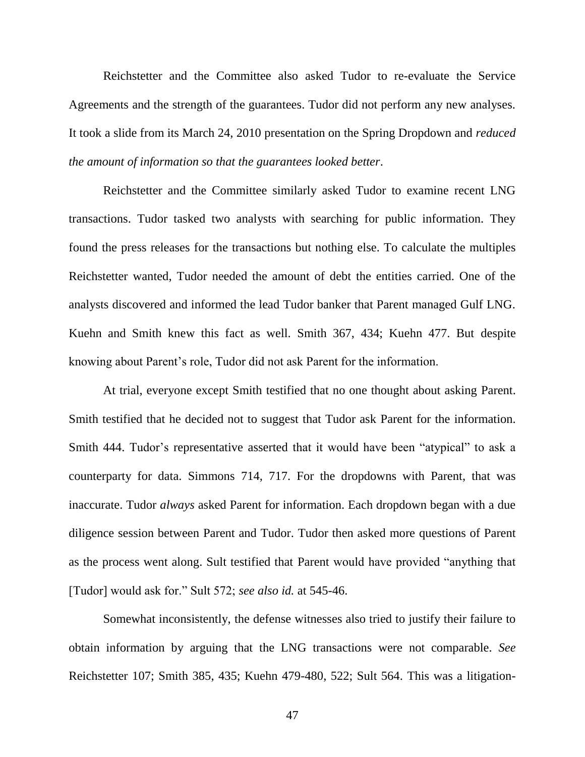Reichstetter and the Committee also asked Tudor to re-evaluate the Service Agreements and the strength of the guarantees. Tudor did not perform any new analyses. It took a slide from its March 24, 2010 presentation on the Spring Dropdown and *reduced the amount of information so that the guarantees looked better*.

Reichstetter and the Committee similarly asked Tudor to examine recent LNG transactions. Tudor tasked two analysts with searching for public information. They found the press releases for the transactions but nothing else. To calculate the multiples Reichstetter wanted, Tudor needed the amount of debt the entities carried. One of the analysts discovered and informed the lead Tudor banker that Parent managed Gulf LNG. Kuehn and Smith knew this fact as well. Smith 367, 434; Kuehn 477. But despite knowing about Parent's role, Tudor did not ask Parent for the information.

At trial, everyone except Smith testified that no one thought about asking Parent. Smith testified that he decided not to suggest that Tudor ask Parent for the information. Smith 444. Tudor's representative asserted that it would have been "atypical" to ask a counterparty for data. Simmons 714, 717. For the dropdowns with Parent, that was inaccurate. Tudor *always* asked Parent for information. Each dropdown began with a due diligence session between Parent and Tudor. Tudor then asked more questions of Parent as the process went along. Sult testified that Parent would have provided "anything that [Tudor] would ask for." Sult 572; see also id. at 545-46.

Somewhat inconsistently, the defense witnesses also tried to justify their failure to obtain information by arguing that the LNG transactions were not comparable. *See*  Reichstetter 107; Smith 385, 435; Kuehn 479-480, 522; Sult 564. This was a litigation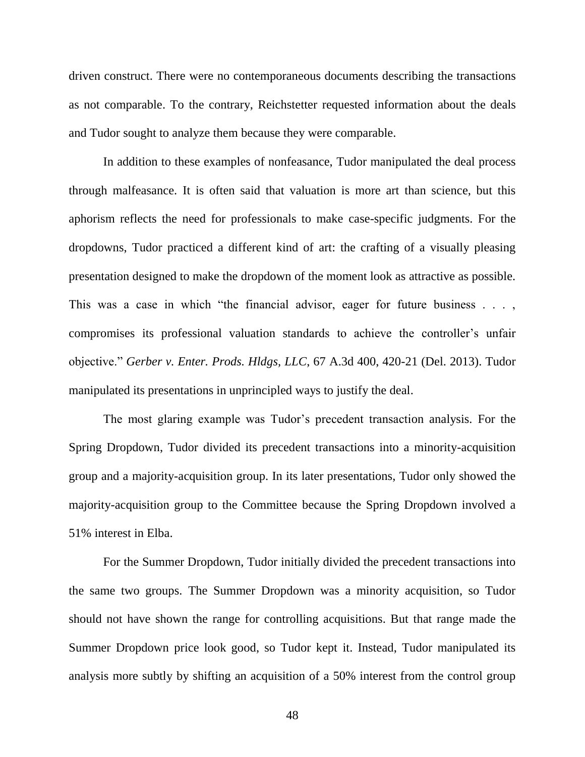driven construct. There were no contemporaneous documents describing the transactions as not comparable. To the contrary, Reichstetter requested information about the deals and Tudor sought to analyze them because they were comparable.

In addition to these examples of nonfeasance, Tudor manipulated the deal process through malfeasance. It is often said that valuation is more art than science, but this aphorism reflects the need for professionals to make case-specific judgments. For the dropdowns, Tudor practiced a different kind of art: the crafting of a visually pleasing presentation designed to make the dropdown of the moment look as attractive as possible. This was a case in which "the financial advisor, eager for future business  $\dots$ , compromises its professional valuation standards to achieve the controller's unfair objective.‖ *Gerber v. Enter. Prods. Hldgs, LLC*, 67 A.3d 400, 420-21 (Del. 2013). Tudor manipulated its presentations in unprincipled ways to justify the deal.

The most glaring example was Tudor's precedent transaction analysis. For the Spring Dropdown, Tudor divided its precedent transactions into a minority-acquisition group and a majority-acquisition group. In its later presentations, Tudor only showed the majority-acquisition group to the Committee because the Spring Dropdown involved a 51% interest in Elba.

For the Summer Dropdown, Tudor initially divided the precedent transactions into the same two groups. The Summer Dropdown was a minority acquisition, so Tudor should not have shown the range for controlling acquisitions. But that range made the Summer Dropdown price look good, so Tudor kept it. Instead, Tudor manipulated its analysis more subtly by shifting an acquisition of a 50% interest from the control group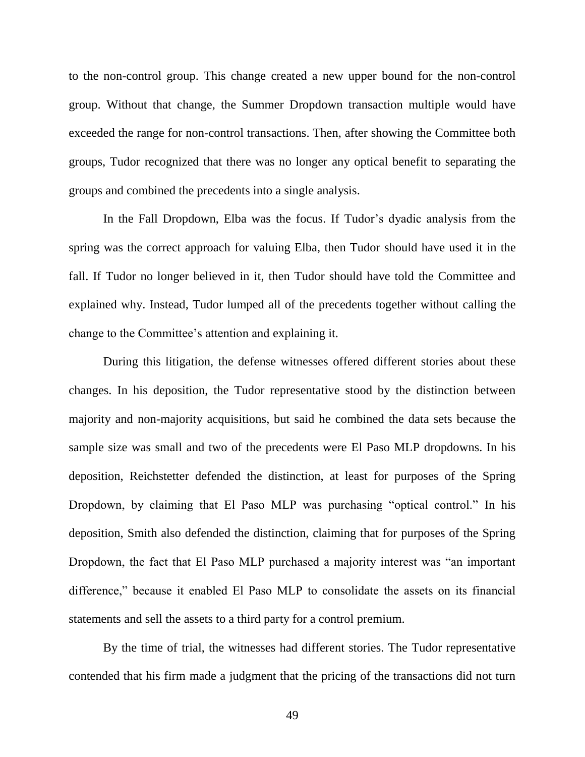to the non-control group. This change created a new upper bound for the non-control group. Without that change, the Summer Dropdown transaction multiple would have exceeded the range for non-control transactions. Then, after showing the Committee both groups, Tudor recognized that there was no longer any optical benefit to separating the groups and combined the precedents into a single analysis.

In the Fall Dropdown, Elba was the focus. If Tudor's dyadic analysis from the spring was the correct approach for valuing Elba, then Tudor should have used it in the fall. If Tudor no longer believed in it, then Tudor should have told the Committee and explained why. Instead, Tudor lumped all of the precedents together without calling the change to the Committee's attention and explaining it.

During this litigation, the defense witnesses offered different stories about these changes. In his deposition, the Tudor representative stood by the distinction between majority and non-majority acquisitions, but said he combined the data sets because the sample size was small and two of the precedents were El Paso MLP dropdowns. In his deposition, Reichstetter defended the distinction, at least for purposes of the Spring Dropdown, by claiming that El Paso MLP was purchasing "optical control." In his deposition, Smith also defended the distinction, claiming that for purposes of the Spring Dropdown, the fact that El Paso MLP purchased a majority interest was "an important difference," because it enabled El Paso MLP to consolidate the assets on its financial statements and sell the assets to a third party for a control premium.

By the time of trial, the witnesses had different stories. The Tudor representative contended that his firm made a judgment that the pricing of the transactions did not turn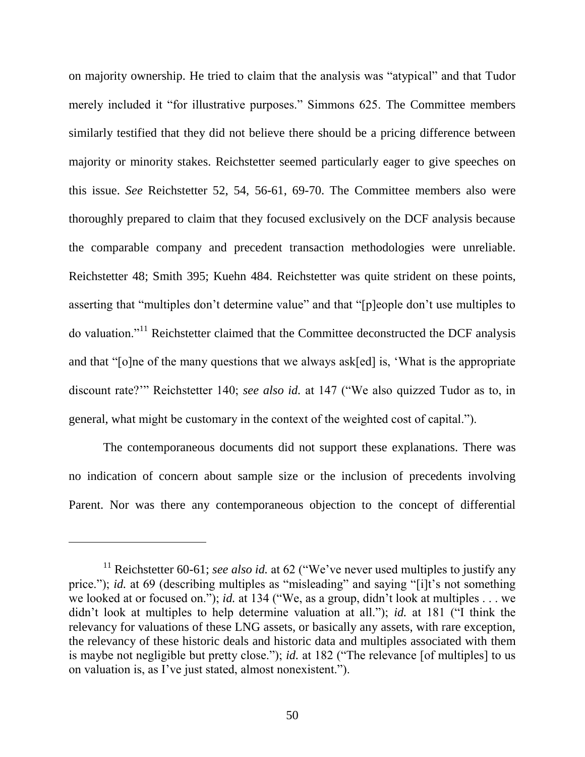on majority ownership. He tried to claim that the analysis was "atypical" and that Tudor merely included it "for illustrative purposes." Simmons 625. The Committee members similarly testified that they did not believe there should be a pricing difference between majority or minority stakes. Reichstetter seemed particularly eager to give speeches on this issue. *See* Reichstetter 52, 54, 56-61, 69-70. The Committee members also were thoroughly prepared to claim that they focused exclusively on the DCF analysis because the comparable company and precedent transaction methodologies were unreliable. Reichstetter 48; Smith 395; Kuehn 484. Reichstetter was quite strident on these points, asserting that "multiples don't determine value" and that "[p]eople don't use multiples to do valuation."<sup>11</sup> Reichstetter claimed that the Committee deconstructed the DCF analysis and that " $[o]$ ne of the many questions that we always ask $[ed]$  is, 'What is the appropriate discount rate?" Reichstetter 140; *see also id.* at 147 ("We also quizzed Tudor as to, in general, what might be customary in the context of the weighted cost of capital.").

The contemporaneous documents did not support these explanations. There was no indication of concern about sample size or the inclusion of precedents involving Parent. Nor was there any contemporaneous objection to the concept of differential

<sup>&</sup>lt;sup>11</sup> Reichstetter 60-61; *see also id.* at 62 ("We've never used multiples to justify any price."); *id.* at 69 (describing multiples as "misleading" and saying "[i]t's not something we looked at or focused on."); *id.* at 134 ("We, as a group, didn't look at multiples  $\dots$  we didn't look at multiples to help determine valuation at all."); *id.* at 181 ("I think the relevancy for valuations of these LNG assets, or basically any assets, with rare exception, the relevancy of these historic deals and historic data and multiples associated with them is maybe not negligible but pretty close."); *id.* at 182 ("The relevance [of multiples] to us on valuation is, as I've just stated, almost nonexistent.").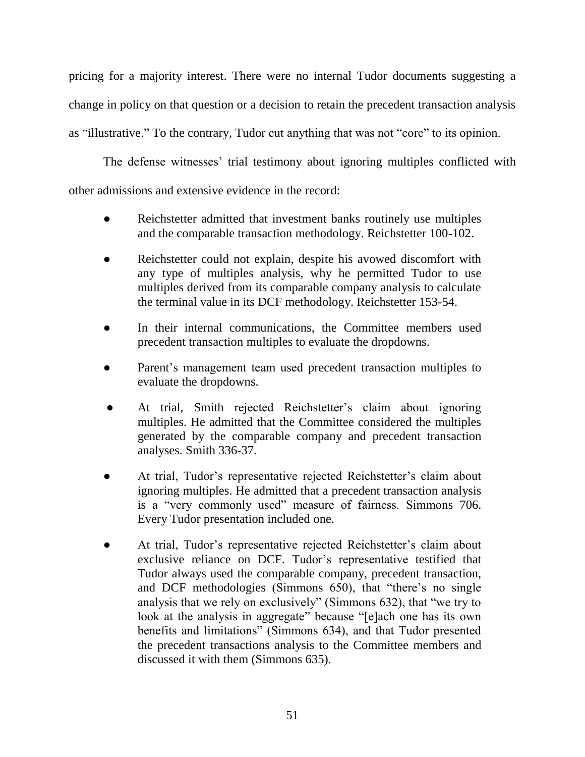pricing for a majority interest. There were no internal Tudor documents suggesting a change in policy on that question or a decision to retain the precedent transaction analysis as "illustrative." To the contrary, Tudor cut anything that was not "core" to its opinion.

The defense witnesses' trial testimony about ignoring multiples conflicted with other admissions and extensive evidence in the record:

- Reichstetter admitted that investment banks routinely use multiples and the comparable transaction methodology. Reichstetter 100-102.
- Reichstetter could not explain, despite his avowed discomfort with any type of multiples analysis, why he permitted Tudor to use multiples derived from its comparable company analysis to calculate the terminal value in its DCF methodology. Reichstetter 153-54.
- In their internal communications, the Committee members used precedent transaction multiples to evaluate the dropdowns.
- Parent's management team used precedent transaction multiples to evaluate the dropdowns.
- At trial, Smith rejected Reichstetter's claim about ignoring multiples. He admitted that the Committee considered the multiples generated by the comparable company and precedent transaction analyses. Smith 336-37.
- At trial, Tudor's representative rejected Reichstetter's claim about ignoring multiples. He admitted that a precedent transaction analysis is a "very commonly used" measure of fairness. Simmons 706. Every Tudor presentation included one.
- At trial, Tudor's representative rejected Reichstetter's claim about exclusive reliance on DCF. Tudor's representative testified that Tudor always used the comparable company, precedent transaction, and DCF methodologies (Simmons 650), that "there's no single analysis that we rely on exclusively" (Simmons 632), that "we try to look at the analysis in aggregate" because "[e]ach one has its own benefits and limitations" (Simmons 634), and that Tudor presented the precedent transactions analysis to the Committee members and discussed it with them (Simmons 635).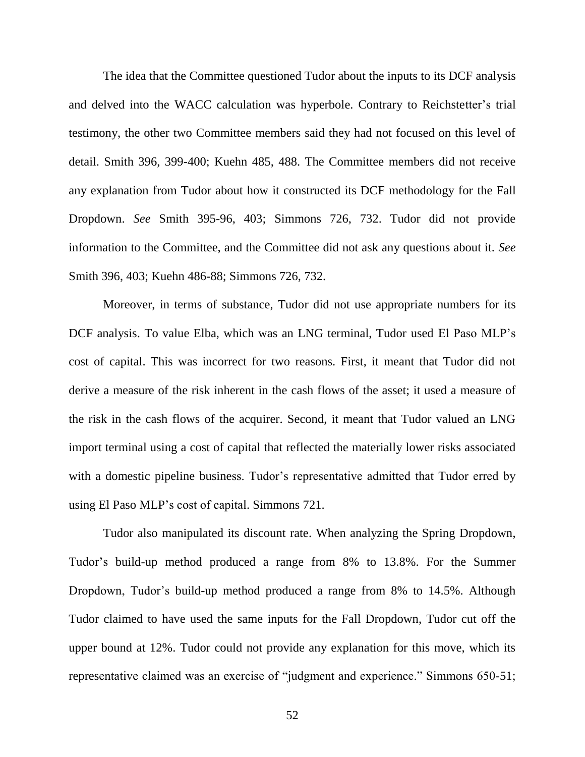The idea that the Committee questioned Tudor about the inputs to its DCF analysis and delved into the WACC calculation was hyperbole. Contrary to Reichstetter's trial testimony, the other two Committee members said they had not focused on this level of detail. Smith 396, 399-400; Kuehn 485, 488. The Committee members did not receive any explanation from Tudor about how it constructed its DCF methodology for the Fall Dropdown. *See* Smith 395-96, 403; Simmons 726, 732. Tudor did not provide information to the Committee, and the Committee did not ask any questions about it. *See*  Smith 396, 403; Kuehn 486-88; Simmons 726, 732.

Moreover, in terms of substance, Tudor did not use appropriate numbers for its DCF analysis. To value Elba, which was an LNG terminal, Tudor used El Paso MLP's cost of capital. This was incorrect for two reasons. First, it meant that Tudor did not derive a measure of the risk inherent in the cash flows of the asset; it used a measure of the risk in the cash flows of the acquirer. Second, it meant that Tudor valued an LNG import terminal using a cost of capital that reflected the materially lower risks associated with a domestic pipeline business. Tudor's representative admitted that Tudor erred by using El Paso MLP's cost of capital. Simmons 721.

Tudor also manipulated its discount rate. When analyzing the Spring Dropdown, Tudor's build-up method produced a range from 8% to 13.8%. For the Summer Dropdown, Tudor's build-up method produced a range from 8% to 14.5%. Although Tudor claimed to have used the same inputs for the Fall Dropdown, Tudor cut off the upper bound at 12%. Tudor could not provide any explanation for this move, which its representative claimed was an exercise of "judgment and experience." Simmons 650-51;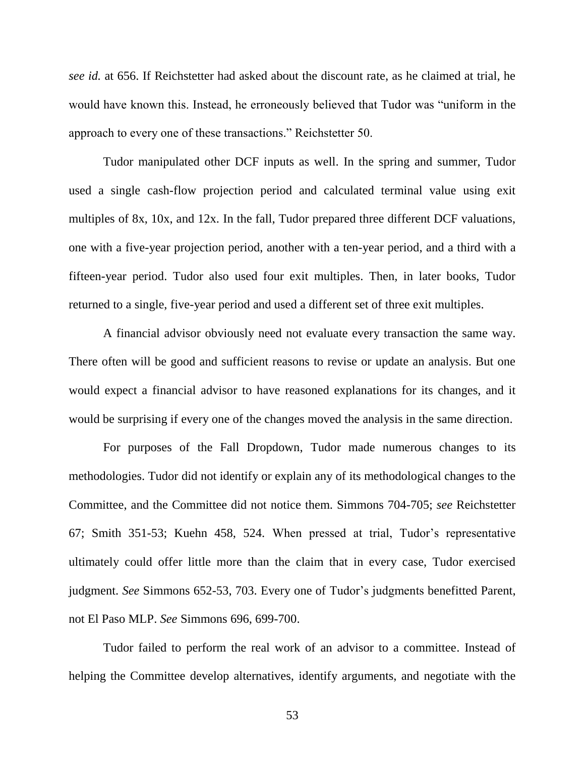*see id.* at 656. If Reichstetter had asked about the discount rate, as he claimed at trial, he would have known this. Instead, he erroneously believed that Tudor was "uniform in the approach to every one of these transactions." Reichstetter 50.

Tudor manipulated other DCF inputs as well. In the spring and summer, Tudor used a single cash-flow projection period and calculated terminal value using exit multiples of 8x, 10x, and 12x. In the fall, Tudor prepared three different DCF valuations, one with a five-year projection period, another with a ten-year period, and a third with a fifteen-year period. Tudor also used four exit multiples. Then, in later books, Tudor returned to a single, five-year period and used a different set of three exit multiples.

A financial advisor obviously need not evaluate every transaction the same way. There often will be good and sufficient reasons to revise or update an analysis. But one would expect a financial advisor to have reasoned explanations for its changes, and it would be surprising if every one of the changes moved the analysis in the same direction.

For purposes of the Fall Dropdown, Tudor made numerous changes to its methodologies. Tudor did not identify or explain any of its methodological changes to the Committee, and the Committee did not notice them. Simmons 704-705; *see* Reichstetter 67; Smith 351-53; Kuehn 458, 524. When pressed at trial, Tudor's representative ultimately could offer little more than the claim that in every case, Tudor exercised judgment. *See* Simmons 652-53, 703. Every one of Tudor's judgments benefitted Parent, not El Paso MLP. *See* Simmons 696, 699-700.

Tudor failed to perform the real work of an advisor to a committee. Instead of helping the Committee develop alternatives, identify arguments, and negotiate with the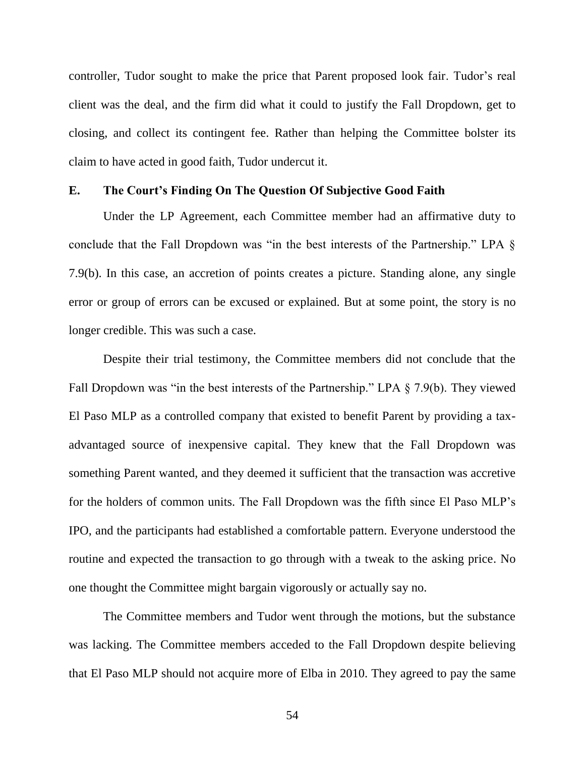controller, Tudor sought to make the price that Parent proposed look fair. Tudor's real client was the deal, and the firm did what it could to justify the Fall Dropdown, get to closing, and collect its contingent fee. Rather than helping the Committee bolster its claim to have acted in good faith, Tudor undercut it.

## **E. The Court's Finding On The Question Of Subjective Good Faith**

Under the LP Agreement, each Committee member had an affirmative duty to conclude that the Fall Dropdown was "in the best interests of the Partnership." LPA  $\S$ 7.9(b). In this case, an accretion of points creates a picture. Standing alone, any single error or group of errors can be excused or explained. But at some point, the story is no longer credible. This was such a case.

Despite their trial testimony, the Committee members did not conclude that the Fall Dropdown was "in the best interests of the Partnership." LPA  $\S$  7.9(b). They viewed El Paso MLP as a controlled company that existed to benefit Parent by providing a taxadvantaged source of inexpensive capital. They knew that the Fall Dropdown was something Parent wanted, and they deemed it sufficient that the transaction was accretive for the holders of common units. The Fall Dropdown was the fifth since El Paso MLP's IPO, and the participants had established a comfortable pattern. Everyone understood the routine and expected the transaction to go through with a tweak to the asking price. No one thought the Committee might bargain vigorously or actually say no.

The Committee members and Tudor went through the motions, but the substance was lacking. The Committee members acceded to the Fall Dropdown despite believing that El Paso MLP should not acquire more of Elba in 2010. They agreed to pay the same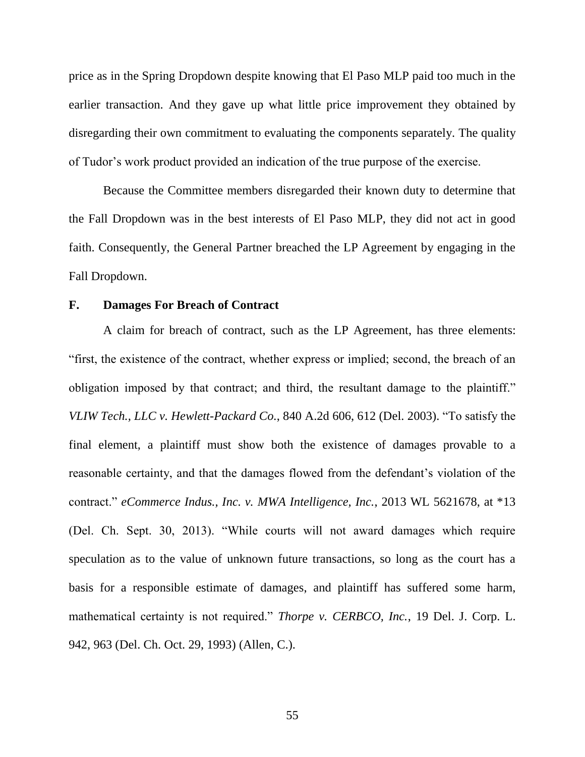price as in the Spring Dropdown despite knowing that El Paso MLP paid too much in the earlier transaction. And they gave up what little price improvement they obtained by disregarding their own commitment to evaluating the components separately. The quality of Tudor's work product provided an indication of the true purpose of the exercise.

Because the Committee members disregarded their known duty to determine that the Fall Dropdown was in the best interests of El Paso MLP, they did not act in good faith. Consequently, the General Partner breached the LP Agreement by engaging in the Fall Dropdown.

## **F. Damages For Breach of Contract**

A claim for breach of contract, such as the LP Agreement, has three elements: ―first, the existence of the contract, whether express or implied; second, the breach of an obligation imposed by that contract; and third, the resultant damage to the plaintiff." *VLIW Tech., LLC v. Hewlett-Packard Co.*, 840 A.2d 606, 612 (Del. 2003). "To satisfy the final element, a plaintiff must show both the existence of damages provable to a reasonable certainty, and that the damages flowed from the defendant's violation of the contract.‖ *eCommerce Indus., Inc. v. MWA Intelligence, Inc.*, 2013 WL 5621678, at \*13 (Del. Ch. Sept. 30, 2013). "While courts will not award damages which require speculation as to the value of unknown future transactions, so long as the court has a basis for a responsible estimate of damages, and plaintiff has suffered some harm, mathematical certainty is not required." *Thorpe v. CERBCO, Inc.*, 19 Del. J. Corp. L. 942, 963 (Del. Ch. Oct. 29, 1993) (Allen, C.).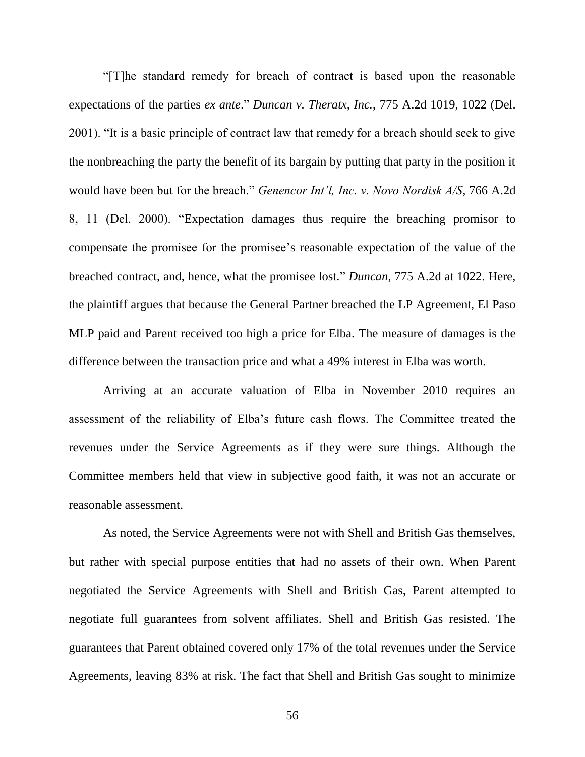―[T]he standard remedy for breach of contract is based upon the reasonable expectations of the parties *ex ante.*" *Duncan v. Theratx, Inc.*, 775 A.2d 1019, 1022 (Del. 2001). "It is a basic principle of contract law that remedy for a breach should seek to give the nonbreaching the party the benefit of its bargain by putting that party in the position it would have been but for the breach." *Genencor Int'l, Inc. v. Novo Nordisk A/S*, 766 A.2d 8, 11 (Del. 2000). "Expectation damages thus require the breaching promisor to compensate the promisee for the promisee's reasonable expectation of the value of the breached contract, and, hence, what the promisee lost." *Duncan*, 775 A.2d at 1022. Here, the plaintiff argues that because the General Partner breached the LP Agreement, El Paso MLP paid and Parent received too high a price for Elba. The measure of damages is the difference between the transaction price and what a 49% interest in Elba was worth.

Arriving at an accurate valuation of Elba in November 2010 requires an assessment of the reliability of Elba's future cash flows. The Committee treated the revenues under the Service Agreements as if they were sure things. Although the Committee members held that view in subjective good faith, it was not an accurate or reasonable assessment.

As noted, the Service Agreements were not with Shell and British Gas themselves, but rather with special purpose entities that had no assets of their own. When Parent negotiated the Service Agreements with Shell and British Gas, Parent attempted to negotiate full guarantees from solvent affiliates. Shell and British Gas resisted. The guarantees that Parent obtained covered only 17% of the total revenues under the Service Agreements, leaving 83% at risk. The fact that Shell and British Gas sought to minimize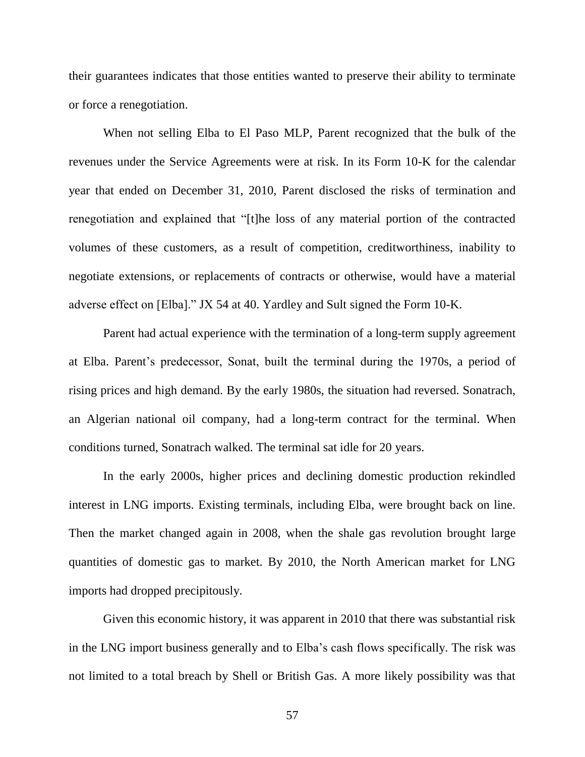their guarantees indicates that those entities wanted to preserve their ability to terminate or force a renegotiation.

When not selling Elba to El Paso MLP, Parent recognized that the bulk of the revenues under the Service Agreements were at risk. In its Form 10-K for the calendar year that ended on December 31, 2010, Parent disclosed the risks of termination and renegotiation and explained that "[t]he loss of any material portion of the contracted volumes of these customers, as a result of competition, creditworthiness, inability to negotiate extensions, or replacements of contracts or otherwise, would have a material adverse effect on [Elba]." JX 54 at 40. Yardley and Sult signed the Form 10-K.

Parent had actual experience with the termination of a long-term supply agreement at Elba. Parent's predecessor, Sonat, built the terminal during the 1970s, a period of rising prices and high demand. By the early 1980s, the situation had reversed. Sonatrach, an Algerian national oil company, had a long-term contract for the terminal. When conditions turned, Sonatrach walked. The terminal sat idle for 20 years.

In the early 2000s, higher prices and declining domestic production rekindled interest in LNG imports. Existing terminals, including Elba, were brought back on line. Then the market changed again in 2008, when the shale gas revolution brought large quantities of domestic gas to market. By 2010, the North American market for LNG imports had dropped precipitously.

Given this economic history, it was apparent in 2010 that there was substantial risk in the LNG import business generally and to Elba's cash flows specifically. The risk was not limited to a total breach by Shell or British Gas. A more likely possibility was that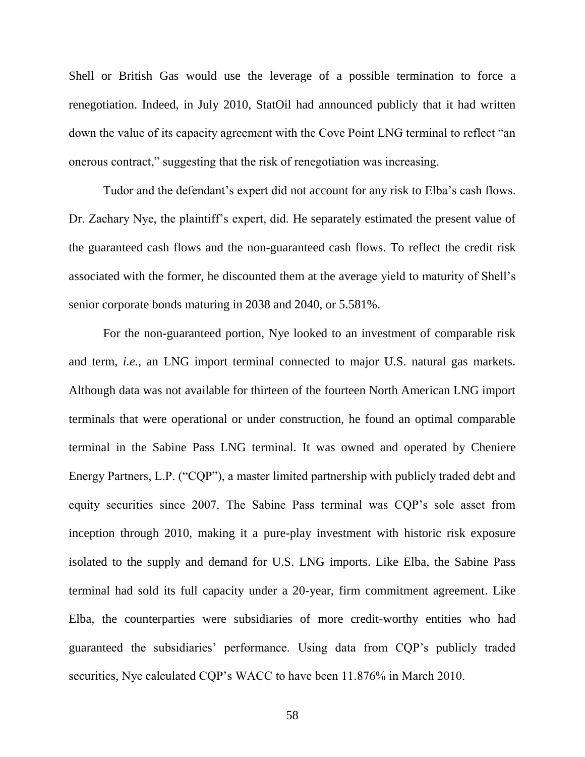Shell or British Gas would use the leverage of a possible termination to force a renegotiation. Indeed, in July 2010, StatOil had announced publicly that it had written down the value of its capacity agreement with the Cove Point LNG terminal to reflect "an onerous contract," suggesting that the risk of renegotiation was increasing.

Tudor and the defendant's expert did not account for any risk to Elba's cash flows. Dr. Zachary Nye, the plaintiff's expert, did. He separately estimated the present value of the guaranteed cash flows and the non-guaranteed cash flows. To reflect the credit risk associated with the former, he discounted them at the average yield to maturity of Shell's senior corporate bonds maturing in 2038 and 2040, or 5.581%.

For the non-guaranteed portion, Nye looked to an investment of comparable risk and term, *i.e.*, an LNG import terminal connected to major U.S. natural gas markets. Although data was not available for thirteen of the fourteen North American LNG import terminals that were operational or under construction, he found an optimal comparable terminal in the Sabine Pass LNG terminal. It was owned and operated by Cheniere Energy Partners, L.P. ("CQP"), a master limited partnership with publicly traded debt and equity securities since 2007. The Sabine Pass terminal was CQP's sole asset from inception through 2010, making it a pure-play investment with historic risk exposure isolated to the supply and demand for U.S. LNG imports. Like Elba, the Sabine Pass terminal had sold its full capacity under a 20-year, firm commitment agreement. Like Elba, the counterparties were subsidiaries of more credit-worthy entities who had guaranteed the subsidiaries' performance. Using data from CQP's publicly traded securities, Nye calculated CQP's WACC to have been 11.876% in March 2010.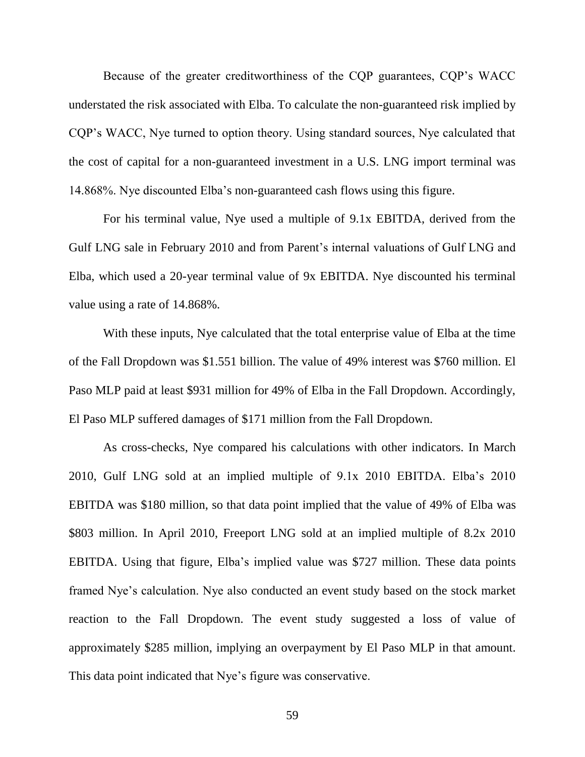Because of the greater creditworthiness of the CQP guarantees, CQP's WACC understated the risk associated with Elba. To calculate the non-guaranteed risk implied by CQP's WACC, Nye turned to option theory. Using standard sources, Nye calculated that the cost of capital for a non-guaranteed investment in a U.S. LNG import terminal was 14.868%. Nye discounted Elba's non-guaranteed cash flows using this figure.

For his terminal value, Nye used a multiple of 9.1x EBITDA, derived from the Gulf LNG sale in February 2010 and from Parent's internal valuations of Gulf LNG and Elba, which used a 20-year terminal value of 9x EBITDA. Nye discounted his terminal value using a rate of 14.868%.

With these inputs, Nye calculated that the total enterprise value of Elba at the time of the Fall Dropdown was \$1.551 billion. The value of 49% interest was \$760 million. El Paso MLP paid at least \$931 million for 49% of Elba in the Fall Dropdown. Accordingly, El Paso MLP suffered damages of \$171 million from the Fall Dropdown.

As cross-checks, Nye compared his calculations with other indicators. In March 2010, Gulf LNG sold at an implied multiple of 9.1x 2010 EBITDA. Elba's 2010 EBITDA was \$180 million, so that data point implied that the value of 49% of Elba was \$803 million. In April 2010, Freeport LNG sold at an implied multiple of 8.2x 2010 EBITDA. Using that figure, Elba's implied value was \$727 million. These data points framed Nye's calculation. Nye also conducted an event study based on the stock market reaction to the Fall Dropdown. The event study suggested a loss of value of approximately \$285 million, implying an overpayment by El Paso MLP in that amount. This data point indicated that Nye's figure was conservative.